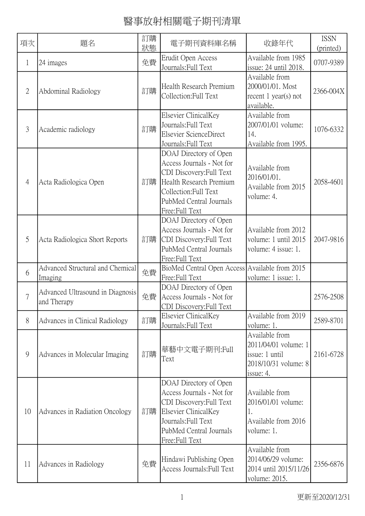| 項次             | 題名                                              | 訂購<br>狀態 | 電子期刊資料庫名稱                                                                                                                                                                        | 收錄年代                                                                                          | <b>ISSN</b><br>(printed) |
|----------------|-------------------------------------------------|----------|----------------------------------------------------------------------------------------------------------------------------------------------------------------------------------|-----------------------------------------------------------------------------------------------|--------------------------|
| 1              | 24 images                                       | 免費       | Erudit Open Access<br>Journals: Full Text                                                                                                                                        | Available from 1985<br>issue: 24 until 2018.                                                  | 0707-9389                |
| $\overline{2}$ | Abdominal Radiology                             | 訂購       | Health Research Premium<br>Collection: Full Text                                                                                                                                 | Available from<br>2000/01/01. Most<br>recent $1$ year(s) not<br>available.                    | 2366-004X                |
| 3              | Academic radiology                              | 訂購       | Elsevier ClinicalKey<br>Journals: Full Text<br>Elsevier ScienceDirect<br>Journals: Full Text                                                                                     | Available from<br>2007/01/01 volume:<br>14.<br>Available from 1995.                           | 1076-6332                |
| $\overline{4}$ | Acta Radiologica Open                           | 訂購       | DOAJ Directory of Open<br>Access Journals - Not for<br>CDI Discovery: Full Text<br>Health Research Premium<br>Collection: Full Text<br>PubMed Central Journals<br>Free:Full Text | Available from<br>2016/01/01.<br>Available from 2015<br>volume: 4.                            | 2058-4601                |
| 5              | Acta Radiologica Short Reports                  | 訂購       | DOAJ Directory of Open<br>Access Journals - Not for<br>CDI Discovery: Full Text<br>PubMed Central Journals<br>Free:Full Text                                                     | Available from 2012<br>volume: 1 until 2015<br>volume: 4 issue: 1.                            | 2047-9816                |
| 6              | Advanced Structural and Chemical<br>Imaging     | 免費       | BioMed Central Open Access Available from 2015<br>Free:Full Text                                                                                                                 | volume: 1 issue: 1.                                                                           |                          |
| $\overline{7}$ | Advanced Ultrasound in Diagnosis<br>and Therapy | 免費       | DOAJ Directory of Open<br>Access Journals - Not for<br>CDI Discovery: Full Text                                                                                                  |                                                                                               | 2576-2508                |
| 8              | Advances in Clinical Radiology                  | 訂購       | Elsevier ClinicalKey<br>Journals: Full Text                                                                                                                                      | Available from 2019<br>volume: 1.                                                             | 2589-8701                |
| 9              | Advances in Molecular Imaging                   | 訂購       | 華藝中文電子期刊:Full<br>Text                                                                                                                                                            | Available from<br>2011/04/01 volume: 1<br>issue: 1 until<br>2018/10/31 volume: 8<br>issue: 4. | 2161-6728                |
| 10             | Advances in Radiation Oncology                  | 訂購       | DOAJ Directory of Open<br>Access Journals - Not for<br>CDI Discovery: Full Text<br>Elsevier ClinicalKey<br>Journals: Full Text<br>PubMed Central Journals<br>Free:Full Text      | Available from<br>2016/01/01 volume:<br>1.<br>Available from 2016<br>volume: 1.               |                          |
| 11             | Advances in Radiology                           | 免費       | Hindawi Publishing Open<br>Access Journals: Full Text                                                                                                                            | Available from<br>2014/06/29 volume:<br>2014 until 2015/11/26<br>volume: 2015.                | 2356-6876                |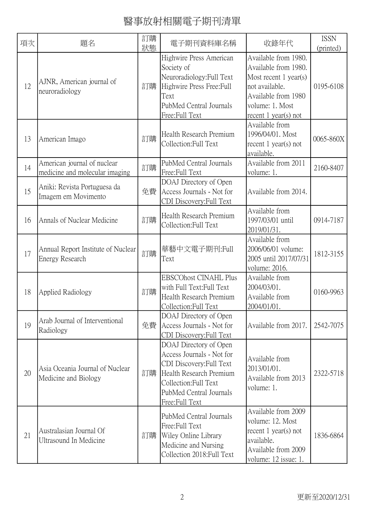| 項次 | 題名                                                            | 訂購<br>狀態 | 電子期刊資料庫名稱                                                                                                                                                                        | 收錄年代                                                                                                                                                          | <b>ISSN</b><br>(printed) |
|----|---------------------------------------------------------------|----------|----------------------------------------------------------------------------------------------------------------------------------------------------------------------------------|---------------------------------------------------------------------------------------------------------------------------------------------------------------|--------------------------|
| 12 | AJNR, American journal of<br>neuroradiology                   | 訂購       | Highwire Press American<br>Society of<br>Neuroradiology:Full Text<br>Highwire Press Free: Full<br>Text<br>PubMed Central Journals<br>Free:Full Text                              | Available from 1980.<br>Available from 1980.<br>Most recent $1$ year(s)<br>not available.<br>Available from 1980<br>volume: 1. Most<br>recent $1$ year(s) not | 0195-6108                |
| 13 | American Imago                                                | 訂購       | Health Research Premium<br>Collection: Full Text                                                                                                                                 | Available from<br>1996/04/01. Most<br>recent $1$ year(s) not<br>available.                                                                                    | 0065-860X                |
| 14 | American journal of nuclear<br>medicine and molecular imaging | 訂購       | PubMed Central Journals<br>Free:Full Text                                                                                                                                        | Available from 2011<br>volume: 1.                                                                                                                             | 2160-8407                |
| 15 | Aniki: Revista Portuguesa da<br>Imagem em Movimento           | 免費       | DOAJ Directory of Open<br>Access Journals - Not for<br>CDI Discovery: Full Text                                                                                                  | Available from 2014.                                                                                                                                          |                          |
| 16 | Annals of Nuclear Medicine                                    | 訂購       | Health Research Premium<br>Collection: Full Text                                                                                                                                 | Available from<br>1997/03/01 until<br>2019/01/31.                                                                                                             | 0914-7187                |
| 17 | Annual Report Institute of Nuclear<br>Energy Research         | 訂購       | 華藝中文電子期刊:Full<br>Text                                                                                                                                                            | Available from<br>2006/06/01 volume:<br>2005 until 2017/07/31<br>volume: 2016.                                                                                | 1812-3155                |
| 18 | Applied Radiology                                             | 訂購       | <b>EBSCOhost CINAHL Plus</b><br>with Full Text: Full Text<br>Health Research Premium<br>Collection: Full Text                                                                    | Available from<br>2004/03/01.<br>Available from<br>2004/01/01.                                                                                                | 0160-9963                |
| 19 | Arab Journal of Interventional<br>Radiology                   | 免費       | DOAJ Directory of Open<br>Access Journals - Not for<br>CDI Discovery: Full Text                                                                                                  | Available from 2017.                                                                                                                                          | 2542-7075                |
| 20 | Asia Oceania Journal of Nuclear<br>Medicine and Biology       | 訂購       | DOAJ Directory of Open<br>Access Journals - Not for<br>CDI Discovery: Full Text<br>Health Research Premium<br>Collection: Full Text<br>PubMed Central Journals<br>Free:Full Text | Available from<br>2013/01/01.<br>Available from 2013<br>volume: 1.                                                                                            | 2322-5718                |
| 21 | Australasian Journal Of<br><b>Ultrasound In Medicine</b>      | 訂購       | PubMed Central Journals<br>Free:Full Text<br>Wiley Online Library<br>Medicine and Nursing<br>Collection 2018: Full Text                                                          | Available from 2009<br>volume: 12. Most<br>recent $1$ year(s) not<br>available.<br>Available from 2009<br>volume: 12 issue: 1.                                | 1836-6864                |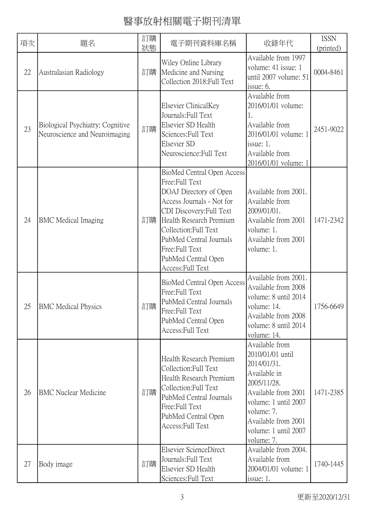| 項次 | 題名                                                                | 訂購<br>狀態 | 電子期刊資料庫名稱                                                                                                                                                                                                                                                                      | 收錄年代                                                                                                                                                                                                       | <b>ISSN</b><br>(printed) |
|----|-------------------------------------------------------------------|----------|--------------------------------------------------------------------------------------------------------------------------------------------------------------------------------------------------------------------------------------------------------------------------------|------------------------------------------------------------------------------------------------------------------------------------------------------------------------------------------------------------|--------------------------|
| 22 | Australasian Radiology                                            | 訂購       | Wiley Online Library<br>Medicine and Nursing<br>Collection 2018: Full Text                                                                                                                                                                                                     | Available from 1997<br>volume: 41 issue: 1<br>until 2007 volume: 51<br>issue: 6.                                                                                                                           | 0004-8461                |
| 23 | Biological Psychiatry: Cognitive<br>Neuroscience and Neuroimaging | 訂購       | Elsevier ClinicalKey<br>Journals: Full Text<br>Elsevier SD Health<br>Sciences: Full Text<br>Elsevier SD<br>Neuroscience: Full Text                                                                                                                                             | Available from<br>2016/01/01 volume:<br>1.<br>Available from<br>2016/01/01 volume: 1<br>issue: 1.<br>Available from<br>2016/01/01 volume: 1                                                                | 2451-9022                |
| 24 | <b>BMC</b> Medical Imaging                                        | 訂購       | BioMed Central Open Access<br>Free: Full Text<br>DOAJ Directory of Open<br>Access Journals - Not for<br>CDI Discovery: Full Text<br>Health Research Premium<br>Collection: Full Text<br>PubMed Central Journals<br>Free: Full Text<br>PubMed Central Open<br>Access: Full Text | Available from 2001.<br>Available from<br>2009/01/01.<br>Available from 2001<br>volume: 1.<br>Available from 2001<br>volume: 1.                                                                            | 1471-2342                |
| 25 | <b>BMC</b> Medical Physics                                        | 訂購       | BioMed Central Open Access<br>Free:Full Text<br>PubMed Central Journals<br>Free:Full Text<br>PubMed Central Open<br>Access: Full Text                                                                                                                                          | Available from 2001.<br>Available from 2008<br>volume: 8 until 2014<br>volume: 14.<br>Available from 2008<br>volume: 8 until 2014<br>volume: 14.                                                           | 1756-6649                |
| 26 | <b>BMC Nuclear Medicine</b>                                       | 訂購       | Health Research Premium<br>Collection: Full Text<br>Health Research Premium<br>Collection: Full Text<br>PubMed Central Journals<br>Free: Full Text<br>PubMed Central Open<br>Access: Full Text                                                                                 | Available from<br>2010/01/01 until<br>2014/01/31.<br>Available in<br>2005/11/28.<br>Available from 2001<br>volume: 1 until 2007<br>volume: 7.<br>Available from 2001<br>volume: 1 until 2007<br>volume: 7. | 1471-2385                |
| 27 | Body image                                                        | 訂購       | Elsevier ScienceDirect<br>Journals: Full Text<br>Elsevier SD Health<br>Sciences: Full Text                                                                                                                                                                                     | Available from 2004.<br>Available from<br>2004/01/01 volume: 1<br>issue: 1.                                                                                                                                | 1740-1445                |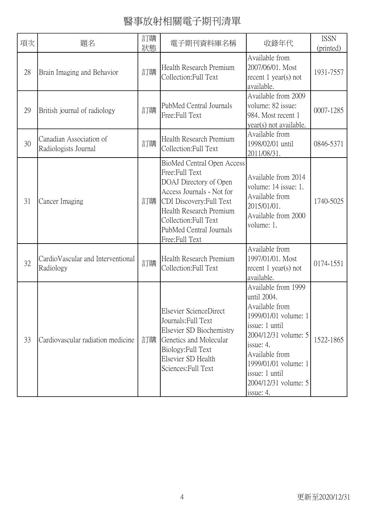| 項次 | 題名                                              | 訂購<br>狀態 | 電子期刊資料庫名稱                                                                                                                                                                                                                        | 收錄年代                                                                                                                                                                                                                                 | <b>ISSN</b><br>(printed) |
|----|-------------------------------------------------|----------|----------------------------------------------------------------------------------------------------------------------------------------------------------------------------------------------------------------------------------|--------------------------------------------------------------------------------------------------------------------------------------------------------------------------------------------------------------------------------------|--------------------------|
| 28 | Brain Imaging and Behavior                      | 訂購       | Health Research Premium<br>Collection: Full Text                                                                                                                                                                                 | Available from<br>2007/06/01. Most<br>recent $1$ year(s) not<br>available.                                                                                                                                                           | 1931-7557                |
| 29 | British journal of radiology                    | 訂購       | PubMed Central Journals<br>Free: Full Text                                                                                                                                                                                       | Available from 2009<br>volume: 82 issue:<br>984. Most recent 1<br>year(s) not available.                                                                                                                                             | 0007-1285                |
| 30 | Canadian Association of<br>Radiologists Journal | 訂購       | Health Research Premium<br>Collection: Full Text                                                                                                                                                                                 | Available from<br>1998/02/01 until<br>2011/08/31.                                                                                                                                                                                    | 0846-5371                |
| 31 | Cancer Imaging                                  | 訂購       | BioMed Central Open Access<br>Free:Full Text<br>DOAJ Directory of Open<br>Access Journals - Not for<br>CDI Discovery: Full Text<br>Health Research Premium<br>Collection: Full Text<br>PubMed Central Journals<br>Free:Full Text | Available from 2014<br>volume: 14 issue: 1.<br>Available from<br>2015/01/01.<br>Available from 2000<br>volume: 1.                                                                                                                    | 1740-5025                |
| 32 | CardioVascular and Interventional<br>Radiology  | 訂購       | Health Research Premium<br>Collection: Full Text                                                                                                                                                                                 | Available from<br>1997/01/01. Most<br>recent $1$ year(s) not<br>available.                                                                                                                                                           | 0174-1551                |
| 33 | Cardiovascular radiation medicine               | 訂購       | Elsevier ScienceDirect<br>Journals: Full Text<br>Elsevier SD Biochemistry<br>Genetics and Molecular<br>Biology: Full Text<br>Elsevier SD Health<br>Sciences: Full Text                                                           | Available from 1999<br>until 2004.<br>Available from<br>1999/01/01 volume: 1<br>issue: 1 until<br>2004/12/31 volume: 5<br>issue: 4.<br>Available from<br>1999/01/01 volume: 1<br>issue: 1 until<br>2004/12/31 volume: 5<br>issue: 4. | 1522-1865                |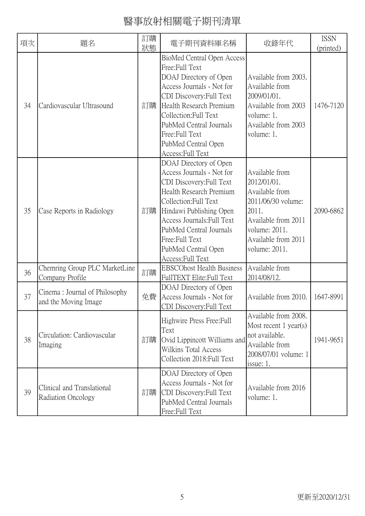| 項次 | 題名                                                    | 訂購<br>狀態 | 電子期刊資料庫名稱                                                                                                                                                                                                                                                                                     | 收錄年代                                                                                                                                                           | <b>ISSN</b><br>(printed) |
|----|-------------------------------------------------------|----------|-----------------------------------------------------------------------------------------------------------------------------------------------------------------------------------------------------------------------------------------------------------------------------------------------|----------------------------------------------------------------------------------------------------------------------------------------------------------------|--------------------------|
| 34 | Cardiovascular Ultrasound                             | 訂購       | BioMed Central Open Access<br>Free:Full Text<br>DOAJ Directory of Open<br>Access Journals - Not for<br>CDI Discovery: Full Text<br>Health Research Premium<br>Collection: Full Text<br>PubMed Central Journals<br>Free: Full Text<br>PubMed Central Open<br>Access: Full Text                 | Available from 2003.<br>Available from<br>2009/01/01.<br>Available from 2003<br>volume: 1.<br>Available from 2003<br>volume: 1.                                | 1476-7120                |
| 35 | Case Reports in Radiology                             | 訂購       | DOAJ Directory of Open<br>Access Journals - Not for<br>CDI Discovery: Full Text<br>Health Research Premium<br>Collection: Full Text<br>Hindawi Publishing Open<br><b>Access Journals: Full Text</b><br>PubMed Central Journals<br>Free: Full Text<br>PubMed Central Open<br>Access: Full Text | Available from<br>2012/01/01.<br>Available from<br>2011/06/30 volume:<br>2011.<br>Available from 2011<br>volume: 2011.<br>Available from 2011<br>volume: 2011. | 2090-6862                |
| 36 | Chemring Group PLC MarketLine<br>Company Profile      | 訂購       | <b>EBSCOhost Health Business</b><br>FullTEXT Elite: Full Text                                                                                                                                                                                                                                 | Available from<br>2014/08/12.                                                                                                                                  |                          |
| 37 | Cinema: Journal of Philosophy<br>and the Moving Image | 免費       | DOAJ Directory of Open<br>Access Journals - Not for<br>CDI Discovery: Full Text                                                                                                                                                                                                               | Available from 2010.                                                                                                                                           | 1647-8991                |
| 38 | Circulation: Cardiovascular<br>Imaging                | 訂購       | Highwire Press Free: Full<br>Text<br>Ovid Lippincott Williams and<br><b>Wilkins Total Access</b><br>Collection 2018: Full Text                                                                                                                                                                | Available from 2008.<br>Most recent 1 year(s)<br>not available.<br>Available from<br>2008/07/01 volume: 1<br>issue: 1.                                         | 1941-9651                |
| 39 | Clinical and Translational<br>Radiation Oncology      | 訂購       | DOAJ Directory of Open<br>Access Journals - Not for<br>CDI Discovery: Full Text<br>PubMed Central Journals<br>Free:Full Text                                                                                                                                                                  | Available from 2016<br>volume: 1.                                                                                                                              |                          |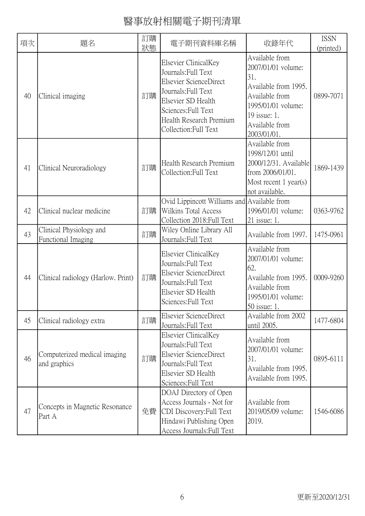| 項次 | 題名                                            | 訂購<br>狀態 | 電子期刊資料庫名稱                                                                                                                                                                                     | 收錄年代                                                                                                                                                         | <b>ISSN</b><br>(printed) |
|----|-----------------------------------------------|----------|-----------------------------------------------------------------------------------------------------------------------------------------------------------------------------------------------|--------------------------------------------------------------------------------------------------------------------------------------------------------------|--------------------------|
| 40 | Clinical imaging                              | 訂購       | Elsevier ClinicalKey<br>Journals: Full Text<br>Elsevier ScienceDirect<br>Journals: Full Text<br>Elsevier SD Health<br>Sciences: Full Text<br>Health Research Premium<br>Collection: Full Text | Available from<br>2007/01/01 volume:<br>31.<br>Available from 1995.<br>Available from<br>1995/01/01 volume:<br>19 issue: 1.<br>Available from<br>2003/01/01. | 0899-7071                |
| 41 | Clinical Neuroradiology                       | 訂購       | Health Research Premium<br>Collection: Full Text                                                                                                                                              | Available from<br>1998/12/01 until<br>2000/12/31. Available<br>from 2006/01/01.<br>Most recent $1$ year(s)<br>not available.                                 | 1869-1439                |
| 42 | Clinical nuclear medicine                     | 訂購       | Ovid Lippincott Williams and Available from<br>Wilkins Total Access<br>Collection 2018: Full Text                                                                                             | 1996/01/01 volume:<br>$21$ issue: 1.                                                                                                                         | 0363-9762                |
| 43 | Clinical Physiology and<br>Functional Imaging | 訂購       | Wiley Online Library All<br>Journals: Full Text                                                                                                                                               | Available from 1997.                                                                                                                                         | 1475-0961                |
| 44 | Clinical radiology (Harlow. Print)            | 訂購       | Elsevier ClinicalKey<br>Journals: Full Text<br>Elsevier ScienceDirect<br>Journals: Full Text<br>Elsevier SD Health<br>Sciences: Full Text                                                     | Available from<br>2007/01/01 volume:<br>62.<br>Available from 1995.<br>Available from<br>1995/01/01 volume:<br>50 issue: 1.                                  | 0009-9260                |
| 45 | Clinical radiology extra                      | 訂購       | Elsevier ScienceDirect<br>Journals: Full Text                                                                                                                                                 | Available from 2002<br>until 2005.                                                                                                                           | 1477-6804                |
| 46 | Computerized medical imaging<br>and graphics  | 訂購       | Elsevier ClinicalKey<br>Journals: Full Text<br>Elsevier ScienceDirect<br>Journals: Full Text<br>Elsevier SD Health<br>Sciences: Full Text                                                     | Available from<br>2007/01/01 volume:<br>31.<br>Available from 1995.<br>Available from 1995.                                                                  | 0895-6111                |
| 47 | Concepts in Magnetic Resonance<br>Part A      | 免費       | DOAJ Directory of Open<br>Access Journals - Not for<br>CDI Discovery: Full Text<br>Hindawi Publishing Open<br>Access Journals: Full Text                                                      | Available from<br>2019/05/09 volume:<br>2019.                                                                                                                | 1546-6086                |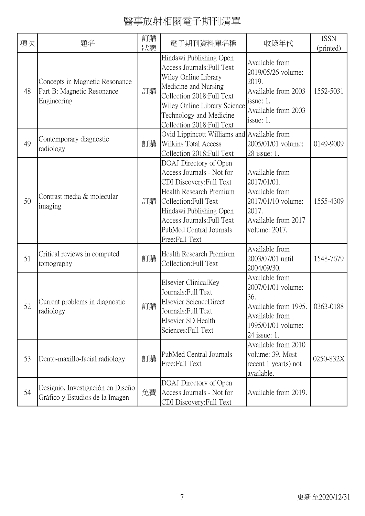| 項次 | 題名                                                                          | 訂購<br>狀態 | 電子期刊資料庫名稱                                                                                                                                                                                                                                 | 收錄年代                                                                                                                        | <b>ISSN</b><br>(printed) |
|----|-----------------------------------------------------------------------------|----------|-------------------------------------------------------------------------------------------------------------------------------------------------------------------------------------------------------------------------------------------|-----------------------------------------------------------------------------------------------------------------------------|--------------------------|
| 48 | Concepts in Magnetic Resonance<br>Part B: Magnetic Resonance<br>Engineering | 訂購       | Hindawi Publishing Open<br>Access Journals: Full Text<br>Wiley Online Library<br>Medicine and Nursing<br>Collection 2018: Full Text<br>Wiley Online Library Science<br>Technology and Medicine<br>Collection 2018: Full Text              | Available from<br>2019/05/26 volume:<br>2019.<br>Available from 2003<br>issue: 1.<br>Available from 2003<br>issue: 1.       | 1552-5031                |
| 49 | Contemporary diagnostic<br>radiology                                        | 訂購       | Ovid Lippincott Williams and Available from<br>Wilkins Total Access<br>Collection 2018: Full Text                                                                                                                                         | 2005/01/01 volume:<br>28 issue: 1.                                                                                          | 0149-9009                |
| 50 | Contrast media & molecular<br>imaging                                       | 訂購       | DOAJ Directory of Open<br>Access Journals - Not for<br>CDI Discovery: Full Text<br>Health Research Premium<br>Collection: Full Text<br>Hindawi Publishing Open<br>Access Journals: Full Text<br>PubMed Central Journals<br>Free:Full Text | Available from<br>2017/01/01.<br>Available from<br>2017/01/10 volume:<br>2017.<br>Available from 2017<br>volume: 2017.      | 1555-4309                |
| 51 | Critical reviews in computed<br>tomography                                  | 訂購       | Health Research Premium<br>Collection: Full Text                                                                                                                                                                                          | Available from<br>2003/07/01 until<br>2004/09/30.                                                                           | 1548-7679                |
| 52 | Current problems in diagnostic<br>radiology                                 | 訂購       | Elsevier ClinicalKey<br>Journals: Full Text<br>Elsevier ScienceDirect<br>Journals: Full Text<br>Elsevier SD Health<br>Sciences: Full Text                                                                                                 | Available from<br>2007/01/01 volume:<br>36.<br>Available from 1995.<br>Available from<br>1995/01/01 volume:<br>24 issue: 1. | 0363-0188                |
| 53 | Dento-maxillo-facial radiology                                              | 訂購       | PubMed Central Journals<br>Free: Full Text                                                                                                                                                                                                | Available from 2010<br>volume: 39. Most<br>recent $1$ year(s) not<br>available.                                             | 0250-832X                |
| 54 | Designio. Investigación en Diseño<br>Gráfico y Estudios de la Imagen        | 免費       | DOAJ Directory of Open<br>Access Journals - Not for<br>CDI Discovery: Full Text                                                                                                                                                           | Available from 2019.                                                                                                        |                          |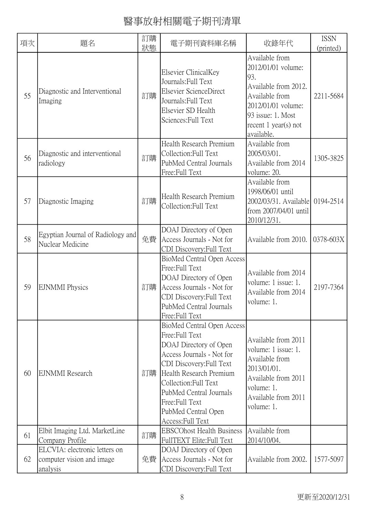| 項次 | 題名                                                                     | 訂購 | 電子期刊資料庫名稱                                                                                                                                                                                                                                                                      | 收錄年代                                                                                                                                                                     | <b>ISSN</b> |
|----|------------------------------------------------------------------------|----|--------------------------------------------------------------------------------------------------------------------------------------------------------------------------------------------------------------------------------------------------------------------------------|--------------------------------------------------------------------------------------------------------------------------------------------------------------------------|-------------|
|    |                                                                        | 狀態 |                                                                                                                                                                                                                                                                                |                                                                                                                                                                          | (printed)   |
| 55 | Diagnostic and Interventional<br>Imaging                               | 訂購 | Elsevier ClinicalKey<br>Journals: Full Text<br>Elsevier ScienceDirect<br>Journals: Full Text<br>Elsevier SD Health<br>Sciences: Full Text                                                                                                                                      | Available from<br>2012/01/01 volume:<br>93.<br>Available from 2012.<br>Available from<br>2012/01/01 volume:<br>93 issue: 1. Most<br>recent $1$ year(s) not<br>available. | 2211-5684   |
| 56 | Diagnostic and interventional<br>radiology                             | 訂購 | Health Research Premium<br>Collection: Full Text<br>PubMed Central Journals<br>Free:Full Text                                                                                                                                                                                  | Available from<br>2005/03/01.<br>Available from 2014<br>volume: 20.                                                                                                      | 1305-3825   |
| 57 | Diagnostic Imaging                                                     | 訂購 | Health Research Premium<br>Collection:Full Text                                                                                                                                                                                                                                | Available from<br>1998/06/01 until<br>2002/03/31. Available<br>from 2007/04/01 until<br>2010/12/31.                                                                      | 0194-2514   |
| 58 | Egyptian Journal of Radiology and<br>Nuclear Medicine                  | 免費 | DOAJ Directory of Open<br>Access Journals - Not for<br>CDI Discovery: Full Text                                                                                                                                                                                                | Available from 2010.                                                                                                                                                     | 0378-603X   |
| 59 | <b>EJNMMI</b> Physics                                                  | 訂購 | <b>BioMed Central Open Access</b><br>Free: Full Text<br>DOAJ Directory of Open<br>Access Journals - Not for<br>CDI Discovery: Full Text<br>PubMed Central Journals<br>Free: Full Text                                                                                          | Available from 2014<br>volume: 1 issue: 1.<br>Available from 2014<br>volume: 1.                                                                                          | 2197-7364   |
| 60 | <b>EJNMMI</b> Research                                                 | 訂購 | BioMed Central Open Access<br>Free: Full Text<br>DOAJ Directory of Open<br>Access Journals - Not for<br>CDI Discovery: Full Text<br>Health Research Premium<br>Collection: Full Text<br>PubMed Central Journals<br>Free: Full Text<br>PubMed Central Open<br>Access: Full Text | Available from 2011<br>volume: 1 issue: 1.<br>Available from<br>2013/01/01.<br>Available from 2011<br>volume: 1.<br>Available from 2011<br>volume: 1.                    |             |
| 61 | Elbit Imaging Ltd. MarketLine                                          | 訂購 | <b>EBSCOhost Health Business</b>                                                                                                                                                                                                                                               | Available from                                                                                                                                                           |             |
|    | Company Profile                                                        |    | FullTEXT Elite: Full Text                                                                                                                                                                                                                                                      | 2014/10/04.                                                                                                                                                              |             |
| 62 | ELCVIA: electronic letters on<br>computer vision and image<br>analysis | 免費 | DOAJ Directory of Open<br>Access Journals - Not for<br>CDI Discovery: Full Text                                                                                                                                                                                                | Available from 2002.                                                                                                                                                     | 1577-5097   |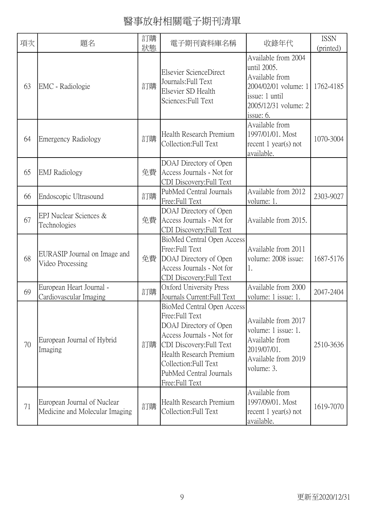| 項次 | 題名                                                            | 訂購<br>狀態 | 電子期刊資料庫名稱                                                                                                                                                                                                                         | 收錄年代                                                                                                                                | <b>ISSN</b><br>(printed) |
|----|---------------------------------------------------------------|----------|-----------------------------------------------------------------------------------------------------------------------------------------------------------------------------------------------------------------------------------|-------------------------------------------------------------------------------------------------------------------------------------|--------------------------|
| 63 | EMC - Radiologie                                              | 訂購       | Elsevier ScienceDirect<br>Journals: Full Text<br>Elsevier SD Health<br>Sciences: Full Text                                                                                                                                        | Available from 2004<br>until 2005.<br>Available from<br>2004/02/01 volume: 1<br>issue: 1 until<br>2005/12/31 volume: 2<br>issue: 6. | 1762-4185                |
| 64 | <b>Emergency Radiology</b>                                    | 訂購       | Health Research Premium<br>Collection:Full Text                                                                                                                                                                                   | Available from<br>1997/01/01. Most<br>recent $1$ year(s) not<br>available.                                                          | 1070-3004                |
| 65 | <b>EMJ</b> Radiology                                          | 免費       | DOAJ Directory of Open<br>Access Journals - Not for<br>CDI Discovery: Full Text                                                                                                                                                   |                                                                                                                                     |                          |
| 66 | Endoscopic Ultrasound                                         | 訂購       | PubMed Central Journals<br>Free: Full Text                                                                                                                                                                                        | Available from 2012<br>volume: 1.                                                                                                   | 2303-9027                |
| 67 | EPJ Nuclear Sciences &<br>Technologies                        | 免費       | DOAJ Directory of Open<br>Access Journals - Not for<br>CDI Discovery: Full Text                                                                                                                                                   | Available from 2015.                                                                                                                |                          |
| 68 | EURASIP Journal on Image and<br>Video Processing              | 免費       | <b>BioMed Central Open Access</b><br>Free:Full Text<br>DOAJ Directory of Open<br>Access Journals - Not for<br>CDI Discovery: Full Text                                                                                            | Available from 2011<br>volume: 2008 issue:<br>1.                                                                                    | 1687-5176                |
| 69 | European Heart Journal -<br>Cardiovascular Imaging            | 訂購       | Oxford University Press<br>Journals Current: Full Text                                                                                                                                                                            | Available from 2000<br>volume: 1 issue: 1.                                                                                          | 2047-2404                |
| 70 | European Journal of Hybrid<br>Imaging                         | 訂購       | BioMed Central Open Access<br>Free: Full Text<br>DOAJ Directory of Open<br>Access Journals - Not for<br>CDI Discovery: Full Text<br>Health Research Premium<br>Collection: Full Text<br>PubMed Central Journals<br>Free:Full Text | Available from 2017<br>volume: 1 issue: 1.<br>Available from<br>2019/07/01.<br>Available from 2019<br>volume: 3.                    | 2510-3636                |
| 71 | European Journal of Nuclear<br>Medicine and Molecular Imaging | 訂購       | Health Research Premium<br>Collection: Full Text                                                                                                                                                                                  | Available from<br>1997/09/01. Most<br>recent $1$ year(s) not<br>available.                                                          | 1619-7070                |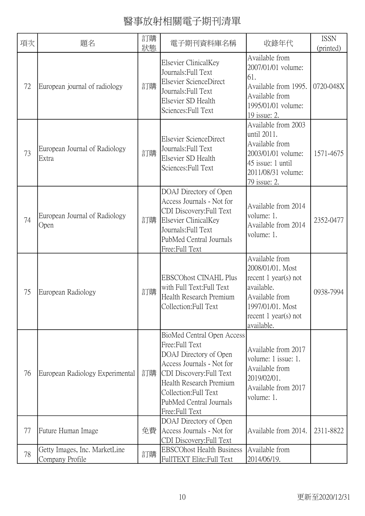| 項次 | 題名                                               | 訂購<br>狀態 | 電子期刊資料庫名稱                                                                                                                                                                                                                        | 收錄年代                                                                                                                                                 | <b>ISSN</b><br>(printed) |
|----|--------------------------------------------------|----------|----------------------------------------------------------------------------------------------------------------------------------------------------------------------------------------------------------------------------------|------------------------------------------------------------------------------------------------------------------------------------------------------|--------------------------|
| 72 | European journal of radiology                    | 訂購       | Elsevier ClinicalKey<br>Journals: Full Text<br>Elsevier ScienceDirect<br>Journals: Full Text<br>Elsevier SD Health<br>Sciences: Full Text                                                                                        | Available from<br>2007/01/01 volume:<br>61.<br>Available from 1995.<br>Available from<br>1995/01/01 volume:<br>19 issue: 2.                          | 0720-048X                |
| 73 | European Journal of Radiology<br>Extra           | 訂購       | Elsevier ScienceDirect<br>Journals: Full Text<br>Elsevier SD Health<br>Sciences: Full Text                                                                                                                                       | Available from 2003<br>until 2011.<br>Available from<br>2003/01/01 volume:<br>45 issue: 1 until<br>2011/08/31 volume:<br>79 issue: 2.                | 1571-4675                |
| 74 | European Journal of Radiology<br>Open            | 訂購       | DOAJ Directory of Open<br>Access Journals - Not for<br>CDI Discovery: Full Text<br>Elsevier ClinicalKey<br>Journals: Full Text<br>PubMed Central Journals<br>Free:Full Text                                                      | Available from 2014<br>volume: 1.<br>Available from 2014<br>volume: 1.                                                                               | 2352-0477                |
| 75 | European Radiology                               | 訂購       | <b>EBSCOhost CINAHL Plus</b><br>with Full Text: Full Text<br>Health Research Premium<br>Collection: Full Text                                                                                                                    | Available from<br>2008/01/01. Most<br>recent 1 year(s) not<br>available.<br>Available from<br>1997/01/01. Most<br>recent 1 year(s) not<br>available. | 0938-7994                |
| 76 | European Radiology Experimental                  | 訂購       | BioMed Central Open Access<br>Free:Full Text<br>DOAJ Directory of Open<br>Access Journals - Not for<br>CDI Discovery: Full Text<br>Health Research Premium<br>Collection: Full Text<br>PubMed Central Journals<br>Free:Full Text | Available from 2017<br>volume: 1 issue: 1.<br>Available from<br>2019/02/01.<br>Available from 2017<br>volume: 1.                                     |                          |
| 77 | Future Human Image                               | 免費       | DOAJ Directory of Open<br>Access Journals - Not for<br>CDI Discovery: Full Text                                                                                                                                                  | Available from 2014.                                                                                                                                 | 2311-8822                |
| 78 | Getty Images, Inc. MarketLine<br>Company Profile | 訂購       | <b>EBSCOhost Health Business</b><br>FullTEXT Elite: Full Text                                                                                                                                                                    | Available from<br>2014/06/19.                                                                                                                        |                          |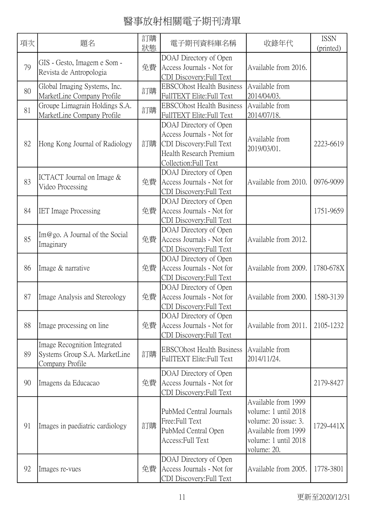| 項次 | 題名                                                                               | 訂購<br>狀態 | 電子期刊資料庫名稱                                                                                                                           | 收錄年代                                                                                                                              | <b>ISSN</b><br>(printed) |
|----|----------------------------------------------------------------------------------|----------|-------------------------------------------------------------------------------------------------------------------------------------|-----------------------------------------------------------------------------------------------------------------------------------|--------------------------|
| 79 | GIS - Gesto, Imagem e Som -<br>Revista de Antropologia                           | 免費       | DOAJ Directory of Open<br>Access Journals - Not for<br>CDI Discovery: Full Text                                                     | Available from 2016.                                                                                                              |                          |
| 80 | Global Imaging Systems, Inc.<br>MarketLine Company Profile                       | 訂購       | <b>EBSCOhost Health Business</b><br>FullTEXT Elite: Full Text                                                                       | Available from<br>2014/04/03.                                                                                                     |                          |
| 81 | Groupe Limagrain Holdings S.A.<br>MarketLine Company Profile                     | 訂購       | <b>EBSCOhost Health Business</b><br>FullTEXT Elite: Full Text                                                                       | Available from<br>2014/07/18.                                                                                                     |                          |
| 82 | Hong Kong Journal of Radiology                                                   | 訂購       | DOAJ Directory of Open<br>Access Journals - Not for<br>CDI Discovery: Full Text<br>Health Research Premium<br>Collection: Full Text | Available from<br>2019/03/01.                                                                                                     | 2223-6619                |
| 83 | ICTACT Journal on Image $&$<br>Video Processing                                  | 免費       | DOAJ Directory of Open<br>Access Journals - Not for<br>CDI Discovery: Full Text                                                     | Available from 2010.                                                                                                              | 0976-9099                |
| 84 | <b>IET</b> Image Processing                                                      | 免費       | DOAJ Directory of Open<br>Access Journals - Not for<br>CDI Discovery: Full Text                                                     |                                                                                                                                   | 1751-9659                |
| 85 | $\text{Im}@$ go. A Journal of the Social<br>Imaginary                            | 免費       | DOAJ Directory of Open<br>Access Journals - Not for<br>CDI Discovery: Full Text                                                     | Available from 2012.                                                                                                              |                          |
| 86 | Image & narrative                                                                | 免費       | DOAJ Directory of Open<br>Access Journals - Not for<br>CDI Discovery: Full Text                                                     | Available from 2009.                                                                                                              | 1780-678X                |
| 87 | Image Analysis and Stereology                                                    | 免費       | DOAJ Directory of Open<br>Access Journals - Not for<br>CDI Discovery: Full Text                                                     | Available from 2000.                                                                                                              | 1580-3139                |
| 88 | Image processing on line                                                         | 免費       | DOAJ Directory of Open<br>Access Journals - Not for<br>CDI Discovery: Full Text                                                     | Available from 2011.                                                                                                              | 2105-1232                |
| 89 | Image Recognition Integrated<br>Systems Group S.A. MarketLine<br>Company Profile | 訂購       | <b>EBSCOhost Health Business</b><br>FullTEXT Elite: Full Text                                                                       | Available from<br>2014/11/24.                                                                                                     |                          |
| 90 | Imagens da Educacao                                                              | 免費       | DOAJ Directory of Open<br>Access Journals - Not for<br>CDI Discovery: Full Text                                                     |                                                                                                                                   | 2179-8427                |
| 91 | Images in paediatric cardiology                                                  | 訂購       | PubMed Central Journals<br>Free:Full Text<br>PubMed Central Open<br>Access: Full Text                                               | Available from 1999<br>volume: 1 until 2018<br>volume: 20 issue: 3.<br>Available from 1999<br>volume: 1 until 2018<br>volume: 20. | 1729-441X                |
| 92 | Images re-vues                                                                   | 免費       | DOAJ Directory of Open<br>Access Journals - Not for<br>CDI Discovery: Full Text                                                     | Available from 2005.                                                                                                              | 1778-3801                |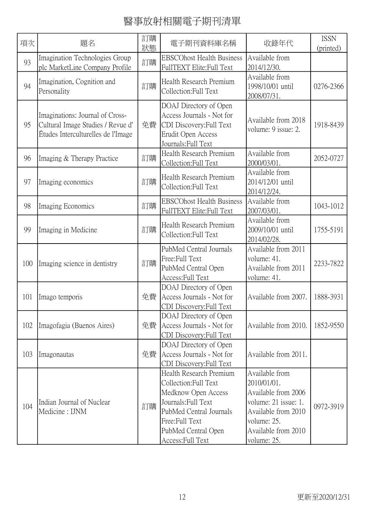| 項次  | 題名                                                                                                         | 訂購<br>狀態 | 電子期刊資料庫名稱                                                                                                                                                                               | 收錄年代                                                                                                                                                     | <b>ISSN</b><br>(printed) |
|-----|------------------------------------------------------------------------------------------------------------|----------|-----------------------------------------------------------------------------------------------------------------------------------------------------------------------------------------|----------------------------------------------------------------------------------------------------------------------------------------------------------|--------------------------|
| 93  | Imagination Technologies Group<br>plc MarketLine Company Profile                                           | 訂購       | <b>EBSCOhost Health Business</b><br>FullTEXT Elite:Full Text                                                                                                                            | Available from<br>2014/12/30.                                                                                                                            |                          |
| 94  | Imagination, Cognition and<br>Personality                                                                  | 訂購       | Health Research Premium<br>Collection: Full Text                                                                                                                                        | Available from<br>1998/10/01 until<br>2008/07/31.                                                                                                        | 0276-2366                |
| 95  | Imaginations: Journal of Cross-<br>Cultural Image Studies / Revue d'<br>Études Interculturelles de l'Image | 免費       | DOAJ Directory of Open<br>Access Journals - Not for<br>CDI Discovery: Full Text<br>Erudit Open Access<br>Journals: Full Text                                                            | Available from 2018<br>volume: 9 issue: 2.                                                                                                               | 1918-8439                |
| 96  | Imaging & Therapy Practice                                                                                 | 訂購       | Health Research Premium<br>Collection: Full Text                                                                                                                                        | Available from<br>2000/03/01.                                                                                                                            | 2052-0727                |
| 97  | Imaging economics                                                                                          | 訂購       | Health Research Premium<br>Collection: Full Text                                                                                                                                        | Available from<br>2014/12/01 until<br>2014/12/24.                                                                                                        |                          |
| 98  | Imaging Economics                                                                                          | 訂購       | <b>EBSCOhost Health Business</b><br>FullTEXT Elite: Full Text                                                                                                                           | Available from<br>2007/03/01.                                                                                                                            | 1043-1012                |
| 99  | Imaging in Medicine                                                                                        | 訂購       | Health Research Premium<br>Collection: Full Text                                                                                                                                        | Available from<br>2009/10/01 until<br>2014/02/28.                                                                                                        | 1755-5191                |
| 100 | Imaging science in dentistry                                                                               | 訂購       | PubMed Central Journals<br>Free:Full Text<br>PubMed Central Open<br>Access: Full Text                                                                                                   | Available from 2011<br>volume: 41.<br>Available from 2011<br>volume: 41.                                                                                 | 2233-7822                |
| 101 | Imago temporis                                                                                             | 免費       | DOAJ Directory of Open<br>Access Journals - Not for<br>CDI Discovery: Full Text                                                                                                         | Available from 2007.                                                                                                                                     | 1888-3931                |
| 102 | Imagofagia (Buenos Aires)                                                                                  | 免費       | DOAJ Directory of Open<br>Access Journals - Not for<br>CDI Discovery: Full Text                                                                                                         | Available from 2010.                                                                                                                                     | 1852-9550                |
| 103 | Imagonautas                                                                                                | 免費       | DOAJ Directory of Open<br>Access Journals - Not for<br>CDI Discovery: Full Text                                                                                                         | Available from 2011.                                                                                                                                     |                          |
| 104 | Indian Journal of Nuclear<br>Medicine: IJNM                                                                | 訂購       | Health Research Premium<br>Collection: Full Text<br>Medknow Open Access<br>Journals: Full Text<br>PubMed Central Journals<br>Free:Full Text<br>PubMed Central Open<br>Access: Full Text | Available from<br>2010/01/01.<br>Available from 2006<br>volume: 21 issue: 1.<br>Available from 2010<br>volume: 25.<br>Available from 2010<br>volume: 25. | 0972-3919                |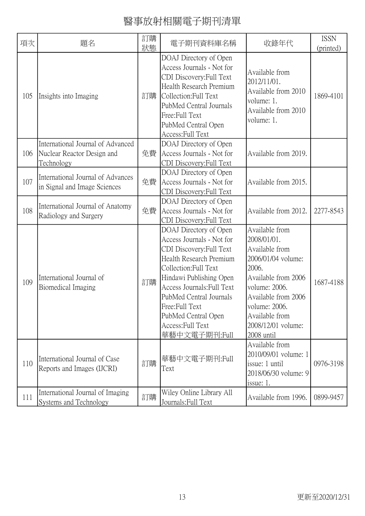| 項次  | 題名                                                                            | 訂購<br>狀態 | 電子期刊資料庫名稱                                                                                                                                                                                                                                                                                              | 收錄年代                                                                                                                                                                                                                 | <b>ISSN</b><br>(printed) |
|-----|-------------------------------------------------------------------------------|----------|--------------------------------------------------------------------------------------------------------------------------------------------------------------------------------------------------------------------------------------------------------------------------------------------------------|----------------------------------------------------------------------------------------------------------------------------------------------------------------------------------------------------------------------|--------------------------|
| 105 | Insights into Imaging                                                         | 訂購       | DOAJ Directory of Open<br>Access Journals - Not for<br>CDI Discovery: Full Text<br>Health Research Premium<br>Collection: Full Text<br>PubMed Central Journals<br>Free:Full Text<br>PubMed Central Open<br>Access: Full Text                                                                           | Available from<br>2012/11/01.<br>Available from 2010<br>volume: 1.<br>Available from 2010<br>volume: 1.                                                                                                              | 1869-4101                |
| 106 | International Journal of Advanced<br>Nuclear Reactor Design and<br>Technology | 免費       | DOAJ Directory of Open<br>Access Journals - Not for<br>CDI Discovery: Full Text                                                                                                                                                                                                                        | Available from 2019.                                                                                                                                                                                                 |                          |
| 107 | International Journal of Advances<br>in Signal and Image Sciences             | 免費       | DOAJ Directory of Open<br>Access Journals - Not for<br>CDI Discovery: Full Text                                                                                                                                                                                                                        | Available from 2015.                                                                                                                                                                                                 |                          |
| 108 | International Journal of Anatomy<br>Radiology and Surgery                     | 免費       | DOAJ Directory of Open<br>Access Journals - Not for<br>CDI Discovery: Full Text                                                                                                                                                                                                                        | Available from 2012.                                                                                                                                                                                                 | 2277-8543                |
| 109 | International Journal of<br>Biomedical Imaging                                | 訂購       | DOAJ Directory of Open<br>Access Journals - Not for<br>CDI Discovery: Full Text<br>Health Research Premium<br>Collection: Full Text<br>Hindawi Publishing Open<br>Access Journals: Full Text<br>PubMed Central Journals<br>Free:Full Text<br>PubMed Central Open<br>Access: Full Text<br>華藝中文電子期刊:Full | Available from<br>2008/01/01.<br>Available from<br>2006/01/04 volume:<br>2006.<br>Available from 2006<br>volume: 2006.<br>Available from 2006<br>volume: 2006.<br>Available from<br>2008/12/01 volume:<br>2008 until | 1687-4188                |
| 110 | International Journal of Case<br>Reports and Images (IJCRI)                   | 訂購       | 華藝中文電子期刊:Full<br>Text                                                                                                                                                                                                                                                                                  | Available from<br>2010/09/01 volume: 1<br>issue: 1 until<br>2018/06/30 volume: 9<br>issue: 1.                                                                                                                        | 0976-3198                |
| 111 | International Journal of Imaging<br>Systems and Technology                    | 訂購       | Wiley Online Library All<br>Journals: Full Text                                                                                                                                                                                                                                                        | Available from 1996.                                                                                                                                                                                                 | 0899-9457                |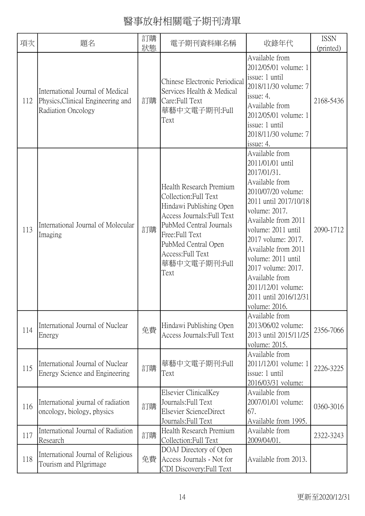| 項次  | 題名                                                                                          | 訂購 | 電子期刊資料庫名稱                                                                                                                                                                                                                   | 收錄年代                                                                                                                                                                                                                                                                                                                                                        | <b>ISSN</b> |
|-----|---------------------------------------------------------------------------------------------|----|-----------------------------------------------------------------------------------------------------------------------------------------------------------------------------------------------------------------------------|-------------------------------------------------------------------------------------------------------------------------------------------------------------------------------------------------------------------------------------------------------------------------------------------------------------------------------------------------------------|-------------|
|     |                                                                                             | 狀態 |                                                                                                                                                                                                                             |                                                                                                                                                                                                                                                                                                                                                             | (printed)   |
| 112 | International Journal of Medical<br>Physics, Clinical Engineering and<br>Radiation Oncology | 訂購 | Chinese Electronic Periodical<br>Services Health & Medical<br>Care: Full Text<br>華藝中文電子期刊:Full<br>Text                                                                                                                      | Available from<br>2012/05/01 volume: 1<br>issue: 1 until<br>2018/11/30 volume: 7<br>issue: $4$ .<br>Available from<br>2012/05/01 volume: 1<br>issue: 1 until<br>2018/11/30 volume: 7<br>issue: 4.                                                                                                                                                           | 2168-5436   |
| 113 | International Journal of Molecular<br>Imaging                                               | 訂購 | Health Research Premium<br>Collection: Full Text<br>Hindawi Publishing Open<br>Access Journals: Full Text<br>PubMed Central Journals<br>Free:Full Text<br>PubMed Central Open<br>Access: Full Text<br>華藝中文電子期刊:Full<br>Text | Available from<br>2011/01/01 until<br>2017/01/31.<br>Available from<br>2010/07/20 volume:<br>2011 until 2017/10/18<br>volume: 2017.<br>Available from 2011<br>volume: 2011 until<br>2017 volume: 2017.<br>Available from 2011<br>volume: 2011 until<br>2017 volume: 2017.<br>Available from<br>2011/12/01 volume:<br>2011 until 2016/12/31<br>volume: 2016. | 2090-1712   |
| 114 | International Journal of Nuclear<br>Energy                                                  | 免費 | Hindawi Publishing Open<br>Access Journals: Full Text                                                                                                                                                                       | Available from<br>2013/06/02 volume:<br>2013 until 2015/11/25<br>volume: 2015.                                                                                                                                                                                                                                                                              | 2356-7066   |
| 115 | International Journal of Nuclear<br>Energy Science and Engineering                          | 訂購 | 華藝中文電子期刊:Full<br>Text                                                                                                                                                                                                       | Available from<br>2011/12/01 volume: 1<br>issue: 1 until<br>2016/03/31 volume:                                                                                                                                                                                                                                                                              | 2226-3225   |
| 116 | International journal of radiation<br>oncology, biology, physics                            | 訂購 | Elsevier ClinicalKey<br>Journals: Full Text<br><b>Elsevier ScienceDirect</b><br>Journals: Full Text                                                                                                                         | Available from<br>2007/01/01 volume:<br>67.<br>Available from 1995.                                                                                                                                                                                                                                                                                         | 0360-3016   |
| 117 | International Journal of Radiation<br>Research                                              | 訂購 | Health Research Premium<br>Collection: Full Text                                                                                                                                                                            | Available from<br>2009/04/01.                                                                                                                                                                                                                                                                                                                               | 2322-3243   |
| 118 | International Journal of Religious<br>Tourism and Pilgrimage                                | 免費 | DOAJ Directory of Open<br>Access Journals - Not for<br>CDI Discovery: Full Text                                                                                                                                             | Available from 2013.                                                                                                                                                                                                                                                                                                                                        |             |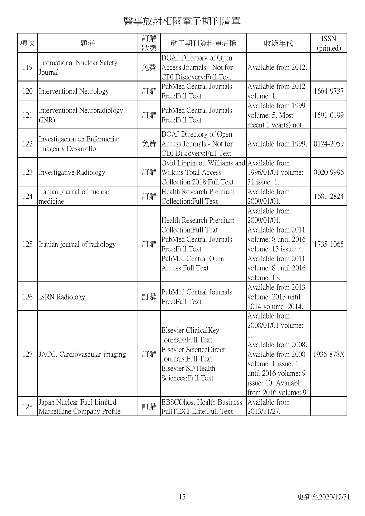| 項次  | 題名                                                       | 訂購<br>狀態 | 電子期刊資料庫名稱                                                                                                                                  | 收錄年代                                                                                                                                                                             | <b>ISSN</b><br>(printed) |
|-----|----------------------------------------------------------|----------|--------------------------------------------------------------------------------------------------------------------------------------------|----------------------------------------------------------------------------------------------------------------------------------------------------------------------------------|--------------------------|
| 119 | <b>International Nuclear Safety</b><br>Journal           | 免費       | DOAJ Directory of Open<br>Access Journals - Not for<br>CDI Discovery: Full Text                                                            | Available from 2012.                                                                                                                                                             |                          |
| 120 | Interventional Neurology                                 | 訂購       | PubMed Central Journals<br>Free:Full Text                                                                                                  | Available from 2012<br>volume: 1.                                                                                                                                                | 1664-9737                |
| 121 | Interventional Neuroradiology<br>(INR)                   | 訂購       | PubMed Central Journals<br>Free: Full Text                                                                                                 | Available from 1999<br>volume: 5. Most<br>recent 1 year(s) not                                                                                                                   | 1591-0199                |
| 122 | Investigacion en Enfermeria:<br>Imagen y Desarrollo      | 免費       | DOAJ Directory of Open<br>Access Journals - Not for<br>CDI Discovery: Full Text                                                            | Available from 1999.                                                                                                                                                             | 0124-2059                |
| 123 | <b>Investigative Radiology</b>                           | 訂購       | Ovid Lippincott Williams and Available from<br>Wilkins Total Access<br>Collection 2018: Full Text                                          | 1996/01/01 volume:<br>31 issue: 1.                                                                                                                                               | 0020-9996                |
| 124 | Iranian journal of nuclear<br>medicine                   | 訂購       | Health Research Premium<br>Collection: Full Text                                                                                           | Available from<br>2009/01/01.                                                                                                                                                    | 1681-2824                |
| 125 | Iranian journal of radiology                             | 訂購       | Health Research Premium<br>Collection: Full Text<br>PubMed Central Journals<br>Free: Full Text<br>PubMed Central Open<br>Access: Full Text | Available from<br>2009/01/01.<br>Available from 2011<br>volume: 8 until 2016<br>volume: 13 issue: 4.<br>Available from 2011<br>volume: 8 until 2016<br>volume: 13.               | 1735-1065                |
| 126 | <b>ISRN Radiology</b>                                    | 訂購       | PubMed Central Journals<br>Free:Full Text                                                                                                  | Available from 2013<br>volume: 2013 until<br>2014 volume: 2014.                                                                                                                  |                          |
| 127 | JACC. Cardiovascular imaging                             | 訂購       | Elsevier ClinicalKey<br>Journals: Full Text<br>Elsevier ScienceDirect<br>Journals: Full Text<br>Elsevier SD Health<br>Sciences: Full Text  | Available from<br>2008/01/01 volume:<br>Available from 2008.<br>Available from 2008<br>volume: 1 issue: 1<br>until 2016 volume: 9<br>issue: 10. Available<br>from 2016 volume: 9 | 1936-878X                |
| 128 | Japan Nuclear Fuel Limited<br>MarketLine Company Profile | 訂購       | <b>EBSCOhost Health Business</b><br>FullTEXT Elite:Full Text                                                                               | Available from<br>2013/11/27.                                                                                                                                                    |                          |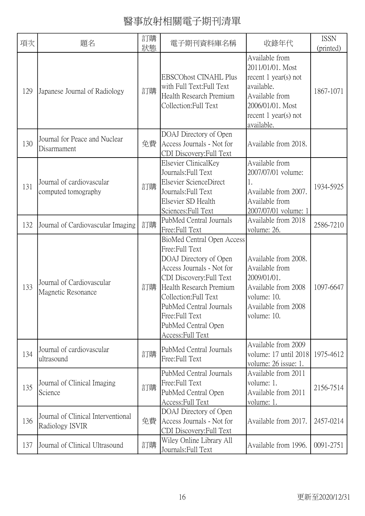| 項次  | 題名                                                    | 訂購<br>狀態 | 電子期刊資料庫名稱                                                                                                                                                                                                                                                                    | 收錄年代                                                                                                                                                     | <b>ISSN</b><br>(printed) |
|-----|-------------------------------------------------------|----------|------------------------------------------------------------------------------------------------------------------------------------------------------------------------------------------------------------------------------------------------------------------------------|----------------------------------------------------------------------------------------------------------------------------------------------------------|--------------------------|
| 129 | Japanese Journal of Radiology                         | 訂購       | <b>EBSCOhost CINAHL Plus</b><br>with Full Text: Full Text<br>Health Research Premium<br>Collection: Full Text                                                                                                                                                                | Available from<br>2011/01/01. Most<br>recent $1$ year(s) not<br>available.<br>Available from<br>2006/01/01. Most<br>recent $1$ year(s) not<br>available. | 1867-1071                |
| 130 | Journal for Peace and Nuclear<br>Disarmament          | 免費       | DOAJ Directory of Open<br>Access Journals - Not for<br>CDI Discovery: Full Text                                                                                                                                                                                              | Available from 2018.                                                                                                                                     |                          |
| 131 | Journal of cardiovascular<br>computed tomography      | 訂購       | Elsevier ClinicalKey<br>Journals: Full Text<br>Elsevier ScienceDirect<br>Journals: Full Text<br>Elsevier SD Health<br>Sciences: Full Text                                                                                                                                    | Available from<br>2007/07/01 volume:<br>1.<br>Available from 2007.<br>Available from<br>2007/07/01 volume: 1                                             | 1934-5925                |
| 132 | Journal of Cardiovascular Imaging                     | 訂購       | PubMed Central Journals<br>Free:Full Text                                                                                                                                                                                                                                    | Available from 2018<br>volume: 26.                                                                                                                       | 2586-7210                |
| 133 | Journal of Cardiovascular<br>Magnetic Resonance       | 訂購       | BioMed Central Open Access<br>Free:Full Text<br>DOAJ Directory of Open<br>Access Journals - Not for<br>CDI Discovery: Full Text<br>Health Research Premium<br>Collection: Full Text<br>PubMed Central Journals<br>Free:Full Text<br>PubMed Central Open<br>Access: Full Text | Available from 2008.<br>Available from<br>2009/01/01.<br>Available from 2008<br>volume: 10.<br>Available from 2008<br>volume: 10.                        | 1097-6647                |
| 134 | Journal of cardiovascular<br>ultrasound               | 訂購       | PubMed Central Journals<br>Free:Full Text                                                                                                                                                                                                                                    | Available from 2009<br>volume: 17 until 2018<br>volume: 26 issue: 1.                                                                                     | 1975-4612                |
| 135 | Journal of Clinical Imaging<br>Science                | 訂購       | PubMed Central Journals<br>Free: Full Text<br>PubMed Central Open<br>Access: Full Text                                                                                                                                                                                       | Available from 2011<br>volume: 1.<br>Available from 2011<br>volume: 1.                                                                                   | 2156-7514                |
| 136 | Journal of Clinical Interventional<br>Radiology ISVIR | 免費       | DOAJ Directory of Open<br>Access Journals - Not for<br>CDI Discovery: Full Text                                                                                                                                                                                              | Available from 2017.                                                                                                                                     | 2457-0214                |
| 137 | Journal of Clinical Ultrasound                        | 訂購       | Wiley Online Library All<br>Journals: Full Text                                                                                                                                                                                                                              | Available from 1996.                                                                                                                                     | 0091-2751                |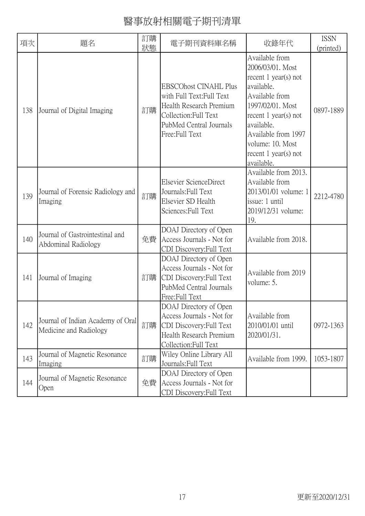| 項次  | 題名                                                          | 訂購<br>狀態 | 電子期刊資料庫名稱                                                                                                                                                  | 收錄年代                                                                                                                                                                                                                                        | <b>ISSN</b><br>(printed) |
|-----|-------------------------------------------------------------|----------|------------------------------------------------------------------------------------------------------------------------------------------------------------|---------------------------------------------------------------------------------------------------------------------------------------------------------------------------------------------------------------------------------------------|--------------------------|
| 138 | Journal of Digital Imaging                                  | 訂購       | <b>EBSCOhost CINAHL Plus</b><br>with Full Text: Full Text<br>Health Research Premium<br>Collection: Full Text<br>PubMed Central Journals<br>Free:Full Text | Available from<br>2006/03/01. Most<br>recent $1$ year(s) not<br>available.<br>Available from<br>1997/02/01. Most<br>recent $1$ year(s) not<br>available.<br>Available from 1997<br>volume: 10. Most<br>recent $1$ year(s) not<br>available. | 0897-1889                |
| 139 | Journal of Forensic Radiology and<br>Imaging                | 訂購       | Elsevier ScienceDirect<br>Journals: Full Text<br>Elsevier SD Health<br>Sciences: Full Text                                                                 | Available from 2013.<br>Available from<br>2013/01/01 volume: 1<br>issue: 1 until<br>2019/12/31 volume:<br>19.                                                                                                                               | 2212-4780                |
| 140 | Journal of Gastrointestinal and<br>Abdominal Radiology      | 免費       | DOAJ Directory of Open<br>Access Journals - Not for<br>CDI Discovery: Full Text                                                                            | Available from 2018.                                                                                                                                                                                                                        |                          |
| 141 | Journal of Imaging                                          | 訂購       | DOAJ Directory of Open<br>Access Journals - Not for<br>CDI Discovery: Full Text<br>PubMed Central Journals<br>Free:Full Text                               | Available from 2019<br>volume: 5.                                                                                                                                                                                                           |                          |
| 142 | Journal of Indian Academy of Oral<br>Medicine and Radiology | 訂購       | DOAJ Directory of Open<br>Access Journals - Not for<br>CDI Discovery: Full Text<br>Health Research Premium<br>Collection: Full Text                        | Available from<br>2010/01/01 until<br>2020/01/31.                                                                                                                                                                                           | 0972-1363                |
| 143 | Journal of Magnetic Resonance<br>Imaging                    | 訂購       | Wiley Online Library All<br>Journals: Full Text                                                                                                            | Available from 1999.                                                                                                                                                                                                                        | 1053-1807                |
| 144 | Journal of Magnetic Resonance<br>Open                       | 免費       | DOAJ Directory of Open<br>Access Journals - Not for<br>CDI Discovery:Full Text                                                                             |                                                                                                                                                                                                                                             |                          |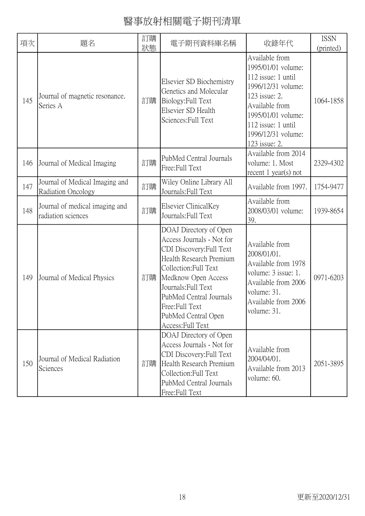| 項次  | 題名                                                   | 訂購<br>狀態 | 電子期刊資料庫名稱                                                                                                                                                                                                                                                                   | 收錄年代                                                                                                                                                                                                   | <b>ISSN</b><br>(printed) |
|-----|------------------------------------------------------|----------|-----------------------------------------------------------------------------------------------------------------------------------------------------------------------------------------------------------------------------------------------------------------------------|--------------------------------------------------------------------------------------------------------------------------------------------------------------------------------------------------------|--------------------------|
| 145 | Journal of magnetic resonance.<br>Series A           | 訂購       | Elsevier SD Biochemistry<br>Genetics and Molecular<br>Biology: Full Text<br>Elsevier SD Health<br>Sciences: Full Text                                                                                                                                                       | Available from<br>1995/01/01 volume:<br>112 issue: 1 until<br>1996/12/31 volume:<br>123 issue: 2.<br>Available from<br>1995/01/01 volume:<br>112 issue: 1 until<br>1996/12/31 volume:<br>123 issue: 2. | 1064-1858                |
| 146 | Journal of Medical Imaging                           | 訂購       | PubMed Central Journals<br>Free:Full Text                                                                                                                                                                                                                                   | Available from 2014<br>volume: 1. Most<br>recent $1$ year(s) not                                                                                                                                       | 2329-4302                |
| 147 | Journal of Medical Imaging and<br>Radiation Oncology | 訂購       | Wiley Online Library All<br>Journals: Full Text                                                                                                                                                                                                                             | Available from 1997.                                                                                                                                                                                   | 1754-9477                |
| 148 | Journal of medical imaging and<br>radiation sciences | 訂購       | Elsevier ClinicalKey<br>Journals: Full Text                                                                                                                                                                                                                                 | Available from<br>2008/03/01 volume:<br>39.                                                                                                                                                            | 1939-8654                |
| 149 | Journal of Medical Physics                           | 訂購       | DOAJ Directory of Open<br>Access Journals - Not for<br>CDI Discovery: Full Text<br>Health Research Premium<br>Collection: Full Text<br>Medknow Open Access<br>Journals: Full Text<br>PubMed Central Journals<br>Free: Full Text<br>PubMed Central Open<br>Access: Full Text | Available from<br>2008/01/01.<br>Available from 1978<br>volume: 3 issue: 1.<br>Available from 2006<br>volume: 31.<br>Available from 2006<br>volume: 31.                                                | 0971-6203                |
| 150 | Journal of Medical Radiation<br>Sciences             | 訂購       | DOAJ Directory of Open<br>Access Journals - Not for<br>CDI Discovery: Full Text<br>Health Research Premium<br>Collection: Full Text<br>PubMed Central Journals<br>Free:Full Text                                                                                            | Available from<br>2004/04/01.<br>Available from 2013<br>volume: 60.                                                                                                                                    | 2051-3895                |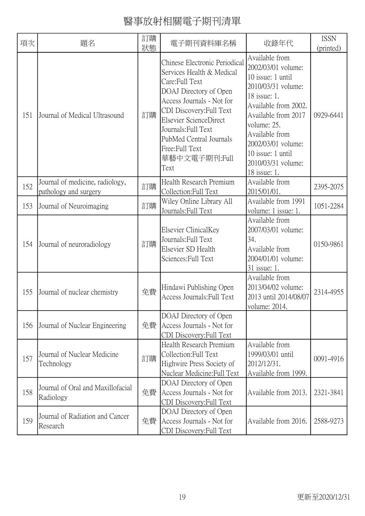| 項次  | 題名                                                       | 訂購<br>狀態 | 電子期刊資料庫名稱                                                                                                                                                                                                                                                                              | 收錄年代                                                                                                                                                                                                                                                             | <b>ISSN</b><br>(printed) |
|-----|----------------------------------------------------------|----------|----------------------------------------------------------------------------------------------------------------------------------------------------------------------------------------------------------------------------------------------------------------------------------------|------------------------------------------------------------------------------------------------------------------------------------------------------------------------------------------------------------------------------------------------------------------|--------------------------|
| 151 | Journal of Medical Ultrasound                            | 訂購       | Chinese Electronic Periodical<br>Services Health & Medical<br>Care:Full Text<br>DOAJ Directory of Open<br>Access Journals - Not for<br>CDI Discovery: Full Text<br>Elsevier ScienceDirect<br>Journals: Full Text<br>PubMed Central Journals<br>Free:Full Text<br>華藝中文電子期刊:Full<br>Text | Available from<br>2002/03/01 volume:<br>10 issue: 1 until<br>2010/03/31 volume:<br>18 issue: 1.<br>Available from 2002.<br>Available from 2017<br>volume: 25.<br>Available from<br>2002/03/01 volume:<br>10 issue: 1 until<br>2010/03/31 volume:<br>18 issue: 1. | 0929-6441                |
| 152 | Journal of medicine, radiology,<br>pathology and surgery | 訂購       | Health Research Premium<br>Collection: Full Text                                                                                                                                                                                                                                       | Available from<br>2015/01/01.                                                                                                                                                                                                                                    | 2395-2075                |
| 153 | Journal of Neuroimaging                                  | 訂購       | Wiley Online Library All<br>Journals: Full Text                                                                                                                                                                                                                                        | Available from 1991<br>volume: 1 issue: 1.                                                                                                                                                                                                                       | 1051-2284                |
| 154 | Journal of neuroradiology                                | 訂購       | Elsevier ClinicalKey<br>Journals: Full Text<br>Elsevier SD Health<br>Sciences: Full Text                                                                                                                                                                                               | Available from<br>2007/03/01 volume:<br>34.<br>Available from<br>2004/01/01 volume:<br>31 issue: 1.                                                                                                                                                              | 0150-9861                |
| 155 | Journal of nuclear chemistry                             | 免費       | Hindawi Publishing Open<br>Access Journals: Full Text                                                                                                                                                                                                                                  | Available from<br>2013/04/02 volume:<br>2013 until 2014/08/07<br>volume: 2014.                                                                                                                                                                                   | 2314-4955                |
| 156 | Journal of Nuclear Engineering                           | 免費       | DOAJ Directory of Open<br>Access Journals - Not for<br>CDI Discovery: Full Text                                                                                                                                                                                                        |                                                                                                                                                                                                                                                                  |                          |
| 157 | Journal of Nuclear Medicine<br>Technology                | 訂購       | Health Research Premium<br>Collection: Full Text<br>Highwire Press Society of<br>Nuclear Medicine: Full Text                                                                                                                                                                           | Available from<br>1999/03/01 until<br>2012/12/31.<br>Available from 1999.                                                                                                                                                                                        | 0091-4916                |
| 158 | Journal of Oral and Maxillofacial<br>Radiology           | 免費       | DOAJ Directory of Open<br>Access Journals - Not for<br>CDI Discovery: Full Text                                                                                                                                                                                                        | Available from 2013.                                                                                                                                                                                                                                             | 2321-3841                |
| 159 | Journal of Radiation and Cancer<br>Research              | 免費       | DOAJ Directory of Open<br>Access Journals - Not for<br>CDI Discovery: Full Text                                                                                                                                                                                                        | Available from 2016.                                                                                                                                                                                                                                             | 2588-9273                |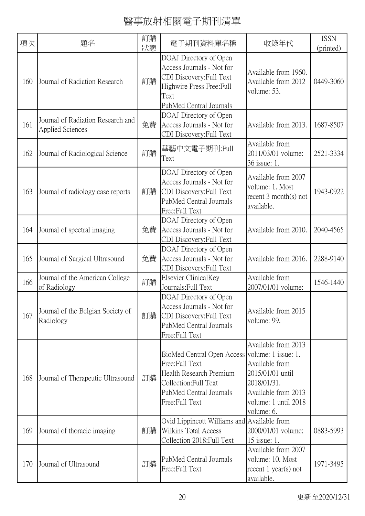| 項次  | 題名                                                    | 訂購<br>狀態 | 電子期刊資料庫名稱                                                                                                                                                         | 收錄年代                                                                                                                                  | <b>ISSN</b><br>(printed) |
|-----|-------------------------------------------------------|----------|-------------------------------------------------------------------------------------------------------------------------------------------------------------------|---------------------------------------------------------------------------------------------------------------------------------------|--------------------------|
| 160 | Journal of Radiation Research                         | 訂購       | DOAJ Directory of Open<br>Access Journals - Not for<br>CDI Discovery: Full Text<br>Highwire Press Free: Full<br>Text<br>PubMed Central Journals                   | Available from 1960.<br>Available from 2012<br>volume: 53.                                                                            | 0449-3060                |
| 161 | Journal of Radiation Research and<br>Applied Sciences | 免費       | DOAJ Directory of Open<br>Access Journals - Not for<br>CDI Discovery: Full Text                                                                                   | Available from 2013.                                                                                                                  | 1687-8507                |
| 162 | Journal of Radiological Science                       | 訂購       | 華藝中文電子期刊:Full<br>Text                                                                                                                                             | Available from<br>2011/03/01 volume:<br>36 issue: 1.                                                                                  | 2521-3334                |
| 163 | Journal of radiology case reports                     | 訂購       | DOAJ Directory of Open<br>Access Journals - Not for<br>CDI Discovery: Full Text<br>PubMed Central Journals<br>Free:Full Text                                      | Available from 2007<br>volume: 1. Most<br>recent $3$ month(s) not<br>available.                                                       | 1943-0922                |
| 164 | Journal of spectral imaging                           | 免費       | DOAJ Directory of Open<br>Access Journals - Not for<br>CDI Discovery: Full Text                                                                                   | Available from 2010.                                                                                                                  | 2040-4565                |
| 165 | Journal of Surgical Ultrasound                        | 免費       | DOAJ Directory of Open<br>Access Journals - Not for<br>CDI Discovery: Full Text                                                                                   | Available from 2016.                                                                                                                  | 2288-9140                |
| 166 | Journal of the American College<br>of Radiology       | 訂購       | Elsevier ClinicalKey<br>Journals: Full Text                                                                                                                       | Available from<br>2007/01/01 volume:                                                                                                  | 1546-1440                |
| 167 | Journal of the Belgian Society of<br>Radiology        | 訂購       | DOAJ Directory of Open<br>Access Journals - Not for<br>CDI Discovery: Full Text<br>PubMed Central Journals<br>Free: Full Text                                     | Available from 2015<br>volume: 99.                                                                                                    |                          |
| 168 | Journal of Therapeutic Ultrasound                     | 訂購       | BioMed Central Open Access volume: 1 issue: 1.<br>Free:Full Text<br>Health Research Premium<br>Collection: Full Text<br>PubMed Central Journals<br>Free:Full Text | Available from 2013<br>Available from<br>2015/01/01 until<br>2018/01/31.<br>Available from 2013<br>volume: 1 until 2018<br>volume: 6. |                          |
| 169 | Journal of thoracic imaging                           | 訂購       | Ovid Lippincott Williams and Available from<br>Wilkins Total Access<br>Collection 2018: Full Text                                                                 | 2000/01/01 volume:<br>15 issue: 1.                                                                                                    | 0883-5993                |
| 170 | Journal of Ultrasound                                 | 訂購       | PubMed Central Journals<br>Free:Full Text                                                                                                                         | Available from 2007<br>volume: 10. Most<br>recent $1$ year(s) not<br>available.                                                       | 1971-3495                |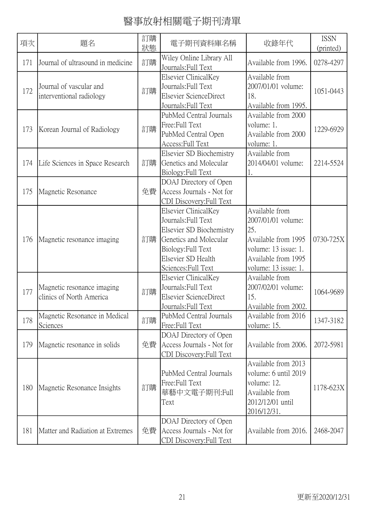| 項次  | 題名                                                     | 訂購<br>狀態 | 電子期刊資料庫名稱                                                                                                                                                            | 收錄年代                                                                                                                                      | <b>ISSN</b><br>(printed) |
|-----|--------------------------------------------------------|----------|----------------------------------------------------------------------------------------------------------------------------------------------------------------------|-------------------------------------------------------------------------------------------------------------------------------------------|--------------------------|
| 171 | Journal of ultrasound in medicine                      | 訂購       | Wiley Online Library All<br>Journals: Full Text                                                                                                                      | Available from 1996.                                                                                                                      | 0278-4297                |
| 172 | Journal of vascular and<br>interventional radiology    | 訂購       | Elsevier ClinicalKey<br>Journals: Full Text<br>Elsevier ScienceDirect<br>Journals: Full Text                                                                         | Available from<br>2007/01/01 volume:<br>18.<br>Available from 1995.                                                                       | 1051-0443                |
| 173 | Korean Journal of Radiology                            | 訂購       | PubMed Central Journals<br>Free:Full Text<br>PubMed Central Open<br>Access: Full Text                                                                                | Available from 2000<br>volume: 1.<br>Available from 2000<br>volume: 1.                                                                    | 1229-6929                |
| 174 | Life Sciences in Space Research                        | 訂購       | Elsevier SD Biochemistry<br>Genetics and Molecular<br>Biology: Full Text                                                                                             | Available from<br>2014/04/01 volume:<br>1.                                                                                                | 2214-5524                |
| 175 | Magnetic Resonance                                     | 免費       | DOAJ Directory of Open<br>Access Journals - Not for<br>CDI Discovery: Full Text                                                                                      |                                                                                                                                           |                          |
| 176 | Magnetic resonance imaging                             | 訂購       | Elsevier ClinicalKey<br>Journals: Full Text<br>Elsevier SD Biochemistry<br>Genetics and Molecular<br>Biology: Full Text<br>Elsevier SD Health<br>Sciences: Full Text | Available from<br>2007/01/01 volume:<br>25.<br>Available from 1995<br>volume: 13 issue: 1.<br>Available from 1995<br>volume: 13 issue: 1. | 0730-725X                |
| 177 | Magnetic resonance imaging<br>clinics of North America | 訂購       | Elsevier ClinicalKey<br>Journals: Full Text<br><b>Elsevier ScienceDirect</b><br>Journals: Full Text                                                                  | Available from<br>2007/02/01 volume:<br>15.<br>Available from 2002.                                                                       | 1064-9689                |
| 178 | Magnetic Resonance in Medical<br>Sciences              | 訂購       | PubMed Central Journals<br>Free:Full Text                                                                                                                            | Available from 2016<br>volume: 15.                                                                                                        | 1347-3182                |
| 179 | Magnetic resonance in solids                           | 免費       | DOAJ Directory of Open<br>Access Journals - Not for<br>CDI Discovery: Full Text                                                                                      | Available from 2006.                                                                                                                      | 2072-5981                |
| 180 | Magnetic Resonance Insights                            | 訂購       | PubMed Central Journals<br>Free:Full Text<br>華藝中文電子期刊:Full<br>Text                                                                                                   | Available from 2013<br>volume: 6 until 2019<br>volume: 12.<br>Available from<br>2012/12/01 until<br>2016/12/31.                           | 1178-623X                |
| 181 | Matter and Radiation at Extremes                       | 免費       | DOAJ Directory of Open<br>Access Journals - Not for<br>CDI Discovery: Full Text                                                                                      | Available from 2016.                                                                                                                      | 2468-2047                |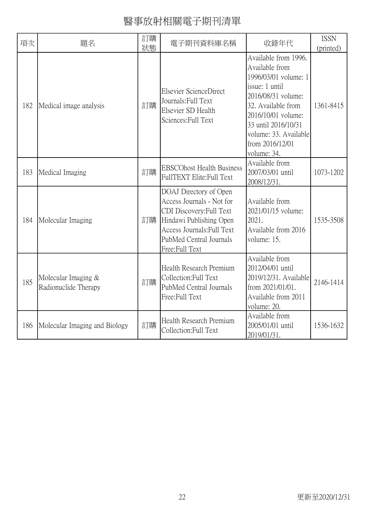| 項次  | 題名                                          | 訂購<br>狀態 | 電子期刊資料庫名稱                                                                                                                                                                                    | 收錄年代                                                                                                                                                                                                                                 | <b>ISSN</b><br>(printed) |
|-----|---------------------------------------------|----------|----------------------------------------------------------------------------------------------------------------------------------------------------------------------------------------------|--------------------------------------------------------------------------------------------------------------------------------------------------------------------------------------------------------------------------------------|--------------------------|
| 182 | Medical image analysis                      | 訂購       | <b>Elsevier ScienceDirect</b><br>Journals: Full Text<br>Elsevier SD Health<br>Sciences: Full Text                                                                                            | Available from 1996.<br>Available from<br>1996/03/01 volume: 1<br>issue: 1 until<br>2016/08/31 volume:<br>32. Available from<br>2016/10/01 volume:<br>33 until 2016/10/31<br>volume: 33. Available<br>from 2016/12/01<br>volume: 34. | 1361-8415                |
| 183 | Medical Imaging                             | 訂購       | <b>EBSCOhost Health Business</b><br>FullTEXT Elite: Full Text                                                                                                                                | Available from<br>2007/03/01 until<br>2008/12/31.                                                                                                                                                                                    | 1073-1202                |
| 184 | Molecular Imaging                           | 訂購       | DOAJ Directory of Open<br>Access Journals - Not for<br>CDI Discovery: Full Text<br>Hindawi Publishing Open<br><b>Access Journals: Full Text</b><br>PubMed Central Journals<br>Free:Full Text | Available from<br>2021/01/15 volume:<br>2021.<br>Available from 2016<br>volume: 15.                                                                                                                                                  | 1535-3508                |
| 185 | Molecular Imaging &<br>Radionuclide Therapy | 訂購       | Health Research Premium<br>Collection: Full Text<br>PubMed Central Journals<br>Free:Full Text                                                                                                | Available from<br>2012/04/01 until<br>2019/12/31. Available<br>from 2021/01/01.<br>Available from 2011<br>volume: 20.                                                                                                                | 2146-1414                |
| 186 | Molecular Imaging and Biology               | 訂購       | Health Research Premium<br>Collection: Full Text                                                                                                                                             | Available from<br>2005/01/01 until<br>2019/01/31.                                                                                                                                                                                    | 1536-1632                |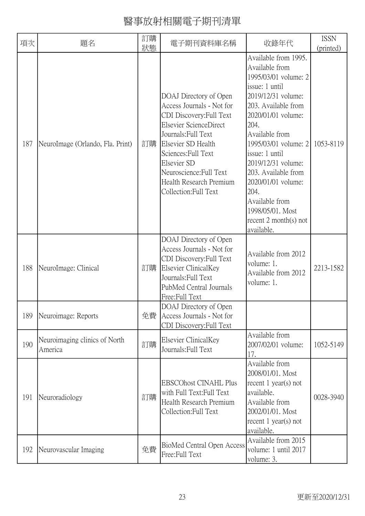| 項次  | 題名                                       | 訂購<br>狀態 | 電子期刊資料庫名稱                                                                                                                                                                                                                                                                   | 收錄年代                                                                                                                                                                                                                                                                                                                                                                              | <b>ISSN</b><br>(printed) |
|-----|------------------------------------------|----------|-----------------------------------------------------------------------------------------------------------------------------------------------------------------------------------------------------------------------------------------------------------------------------|-----------------------------------------------------------------------------------------------------------------------------------------------------------------------------------------------------------------------------------------------------------------------------------------------------------------------------------------------------------------------------------|--------------------------|
| 187 | NeuroImage (Orlando, Fla. Print)         | 訂購       | DOAJ Directory of Open<br>Access Journals - Not for<br>CDI Discovery: Full Text<br>Elsevier ScienceDirect<br>Journals: Full Text<br>Elsevier SD Health<br>Sciences: Full Text<br>Elsevier SD<br>Neuroscience: Full Text<br>Health Research Premium<br>Collection: Full Text | Available from 1995.<br>Available from<br>1995/03/01 volume: 2<br>issue: 1 until<br>2019/12/31 volume:<br>203. Available from<br>2020/01/01 volume:<br>204.<br>Available from<br>1995/03/01 volume: 2<br>issue: 1 until<br>2019/12/31 volume:<br>203. Available from<br>2020/01/01 volume:<br>204.<br>Available from<br>1998/05/01. Most<br>recent $2$ month(s) not<br>available. | 1053-8119                |
| 188 | NeuroImage: Clinical                     | 訂購       | DOAJ Directory of Open<br>Access Journals - Not for<br>CDI Discovery: Full Text<br>Elsevier ClinicalKey<br>Journals: Full Text<br>PubMed Central Journals<br>Free:Full Text                                                                                                 | Available from 2012<br>volume: 1.<br>Available from 2012<br>volume: 1.                                                                                                                                                                                                                                                                                                            | 2213-1582                |
| 189 | Neuroimage: Reports                      | 免費       | DOAJ Directory of Open<br>Access Journals - Not for<br>CDI Discovery: Full Text                                                                                                                                                                                             |                                                                                                                                                                                                                                                                                                                                                                                   |                          |
| 190 | Neuroimaging clinics of North<br>America | 訂購       | Elsevier ClinicalKey<br>Journals: Full Text                                                                                                                                                                                                                                 | Available from<br>2007/02/01 volume:<br>17.                                                                                                                                                                                                                                                                                                                                       | 1052-5149                |
| 191 | Neuroradiology                           | 訂購       | <b>EBSCOhost CINAHL Plus</b><br>with Full Text: Full Text<br>Health Research Premium<br>Collection: Full Text                                                                                                                                                               | Available from<br>2008/01/01. Most<br>recent $1$ year(s) not<br>available.<br>Available from<br>2002/01/01. Most<br>recent $1$ year(s) not<br>available.                                                                                                                                                                                                                          | 0028-3940                |
| 192 | Neurovascular Imaging                    | 免費       | BioMed Central Open Access<br>Free:Full Text                                                                                                                                                                                                                                | Available from 2015<br>volume: 1 until 2017<br>volume: 3.                                                                                                                                                                                                                                                                                                                         |                          |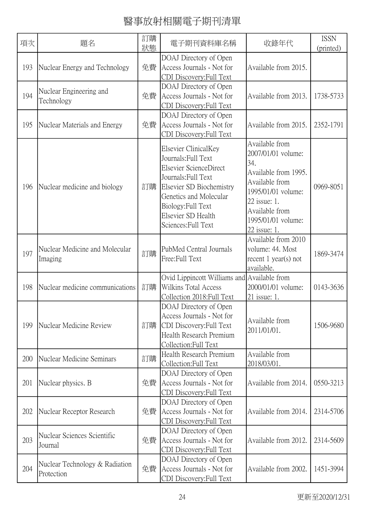| 項次  | 題名                                           | 訂購<br>狀態 | 電子期刊資料庫名稱                                                                                                                                                                                                             | 收錄年代                                                                                                                                                                                | <b>ISSN</b><br>(printed) |
|-----|----------------------------------------------|----------|-----------------------------------------------------------------------------------------------------------------------------------------------------------------------------------------------------------------------|-------------------------------------------------------------------------------------------------------------------------------------------------------------------------------------|--------------------------|
| 193 | Nuclear Energy and Technology                | 免費       | DOAJ Directory of Open<br>Access Journals - Not for<br>CDI Discovery: Full Text                                                                                                                                       | Available from 2015.                                                                                                                                                                |                          |
| 194 | Nuclear Engineering and<br>Technology        | 免費       | DOAJ Directory of Open<br>Access Journals - Not for<br>CDI Discovery: Full Text                                                                                                                                       | Available from 2013.                                                                                                                                                                | 1738-5733                |
| 195 | Nuclear Materials and Energy                 | 免費       | DOAJ Directory of Open<br>Access Journals - Not for<br>CDI Discovery: Full Text                                                                                                                                       | Available from 2015.                                                                                                                                                                | 2352-1791                |
| 196 | Nuclear medicine and biology                 | 訂購       | Elsevier ClinicalKey<br>Journals: Full Text<br>Elsevier ScienceDirect<br>Journals: Full Text<br>Elsevier SD Biochemistry<br>Genetics and Molecular<br>Biology: Full Text<br>Elsevier SD Health<br>Sciences: Full Text | Available from<br>2007/01/01 volume:<br>34.<br>Available from 1995.<br>Available from<br>1995/01/01 volume:<br>22 issue: 1.<br>Available from<br>1995/01/01 volume:<br>22 issue: 1. | 0969-8051                |
| 197 | Nuclear Medicine and Molecular<br>Imaging    | 訂購       | PubMed Central Journals<br>Free:Full Text                                                                                                                                                                             | Available from 2010<br>volume: 44. Most<br>recent $1$ year(s) not<br>available.                                                                                                     | 1869-3474                |
| 198 | Nuclear medicine communications              | 訂購       | Ovid Lippincott Williams and Available from<br>Wilkins Total Access<br>Collection 2018: Full Text                                                                                                                     | 2000/01/01 volume:<br>21 issue: 1.                                                                                                                                                  | 0143-3636                |
| 199 | Nuclear Medicine Review                      | 訂購       | DOAJ Directory of Open<br>Access Journals - Not for<br>CDI Discovery: Full Text<br>Health Research Premium<br>Collection:Full Text                                                                                    | Available from<br>2011/01/01.                                                                                                                                                       | 1506-9680                |
| 200 | Nuclear Medicine Seminars                    | 訂購       | Health Research Premium<br>Collection: Full Text                                                                                                                                                                      | Available from<br>2018/03/01.                                                                                                                                                       |                          |
| 201 | Nuclear physics. B                           | 免費       | DOAJ Directory of Open<br>Access Journals - Not for<br>CDI Discovery:Full Text                                                                                                                                        | Available from 2014.                                                                                                                                                                | 0550-3213                |
| 202 | Nuclear Receptor Research                    | 免費       | DOAJ Directory of Open<br>Access Journals - Not for<br>CDI Discovery: Full Text                                                                                                                                       | Available from 2014.                                                                                                                                                                | 2314-5706                |
| 203 | Nuclear Sciences Scientific<br>Journal       | 免費       | DOAJ Directory of Open<br>Access Journals - Not for<br>CDI Discovery: Full Text                                                                                                                                       | Available from 2012.                                                                                                                                                                | 2314-5609                |
| 204 | Nuclear Technology & Radiation<br>Protection | 免費       | DOAJ Directory of Open<br>Access Journals - Not for<br>CDI Discovery:Full Text                                                                                                                                        | Available from 2002.                                                                                                                                                                | 1451-3994                |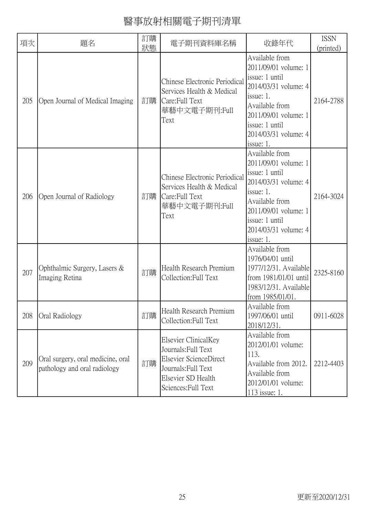| 項次  | 題名                                                                | 訂購<br>狀態 | 電子期刊資料庫名稱                                                                                                                                 | 收錄年代                                                                                                                                                                                           | <b>ISSN</b><br>(printed) |
|-----|-------------------------------------------------------------------|----------|-------------------------------------------------------------------------------------------------------------------------------------------|------------------------------------------------------------------------------------------------------------------------------------------------------------------------------------------------|--------------------------|
| 205 | Open Journal of Medical Imaging                                   | 訂購       | Chinese Electronic Periodical<br>Services Health & Medical<br>Care:Full Text<br>華藝中文電子期刊:Full<br>Text                                     | Available from<br>2011/09/01 volume: 1<br>issue: 1 until<br>2014/03/31 volume: 4<br>issue: 1.<br>Available from<br>2011/09/01 volume: 1<br>issue: 1 until<br>2014/03/31 volume: 4<br>issue: 1. | 2164-2788                |
| 206 | Open Journal of Radiology                                         | 訂購       | Chinese Electronic Periodical<br>Services Health & Medical<br>Care: Full Text<br>華藝中文電子期刊:Full<br>Text                                    | Available from<br>2011/09/01 volume: 1<br>issue: 1 until<br>2014/03/31 volume: 4<br>issue: 1.<br>Available from<br>2011/09/01 volume: 1<br>issue: 1 until<br>2014/03/31 volume: 4<br>issue: 1. | 2164-3024                |
| 207 | Ophthalmic Surgery, Lasers &<br>Imaging Retina                    | 訂購       | Health Research Premium<br>Collection:Full Text                                                                                           | Available from<br>1976/04/01 until<br>1977/12/31. Available<br>from 1981/01/01 until<br>1983/12/31. Available<br>from 1985/01/01.                                                              | 2325-8160                |
| 208 | Oral Radiology                                                    | 訂購       | Health Research Premium<br>Collection: Full Text                                                                                          | Available from<br>1997/06/01 until<br>2018/12/31.                                                                                                                                              | 0911-6028                |
| 209 | Oral surgery, oral medicine, oral<br>pathology and oral radiology | 訂購       | Elsevier ClinicalKey<br>Journals: Full Text<br>Elsevier ScienceDirect<br>Journals: Full Text<br>Elsevier SD Health<br>Sciences: Full Text | Available from<br>2012/01/01 volume:<br>113.<br>Available from 2012.<br>Available from<br>2012/01/01 volume:<br>113 issue: 1.                                                                  | 2212-4403                |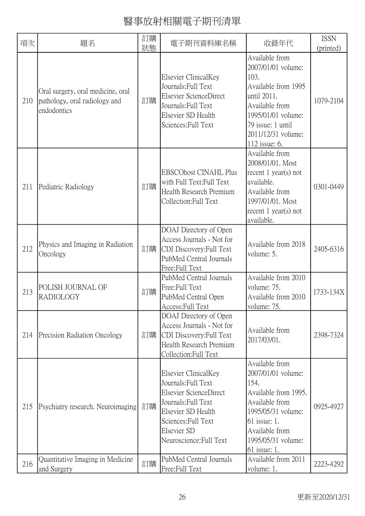| 項次  | 題名                                                                                | 訂購<br>狀態 | 電子期刊資料庫名稱                                                                                                                                                                           | 收錄年代                                                                                                                                                                                   | <b>ISSN</b><br>(printed) |
|-----|-----------------------------------------------------------------------------------|----------|-------------------------------------------------------------------------------------------------------------------------------------------------------------------------------------|----------------------------------------------------------------------------------------------------------------------------------------------------------------------------------------|--------------------------|
| 210 | Oral surgery, oral medicine, oral<br>pathology, oral radiology and<br>endodontics | 訂購       | Elsevier ClinicalKey<br>Journals: Full Text<br>Elsevier ScienceDirect<br>Journals: Full Text<br>Elsevier SD Health<br>Sciences: Full Text                                           | Available from<br>2007/01/01 volume:<br>103.<br>Available from 1995<br>until 2011.<br>Available from<br>1995/01/01 volume:<br>79 issue: 1 until<br>2011/12/31 volume:<br>112 issue: 6. | 1079-2104                |
| 211 | Pediatric Radiology                                                               | 訂購       | <b>EBSCOhost CINAHL Plus</b><br>with Full Text: Full Text<br>Health Research Premium<br>Collection: Full Text                                                                       | Available from<br>2008/01/01. Most<br>recent $1$ year(s) not<br>available.<br>Available from<br>1997/01/01. Most<br>recent $1$ year(s) not<br>available.                               | 0301-0449                |
| 212 | Physics and Imaging in Radiation<br>Oncology                                      | 訂購       | DOAJ Directory of Open<br>Access Journals - Not for<br>CDI Discovery: Full Text<br>PubMed Central Journals<br>Free:Full Text                                                        | Available from 2018<br>volume: 5.                                                                                                                                                      | 2405-6316                |
| 213 | POLISH JOURNAL OF<br><b>RADIOLOGY</b>                                             | 訂購       | PubMed Central Journals<br>Free:Full Text<br>PubMed Central Open<br>Access: Full Text                                                                                               | Available from 2010<br>volume: 75.<br>Available from 2010<br>volume: 75.                                                                                                               | 1733-134X                |
| 214 | Precision Radiation Oncology                                                      | 訂購       | DOAJ Directory of Open<br>Access Journals - Not for<br>CDI Discovery: Full Text<br>Health Research Premium<br>Collection: Full Text                                                 | Available from<br>2017/03/01.                                                                                                                                                          | 2398-7324                |
| 215 | Psychiatry research. Neuroimaging                                                 | 訂購       | Elsevier ClinicalKey<br>Journals: Full Text<br>Elsevier ScienceDirect<br>Journals: Full Text<br>Elsevier SD Health<br>Sciences: Full Text<br>Elsevier SD<br>Neuroscience: Full Text | Available from<br>2007/01/01 volume:<br>154.<br>Available from 1995.<br>Available from<br>1995/05/31 volume:<br>61 issue: 1.<br>Available from<br>1995/05/31 volume:<br>61 issue: 1.   | 0925-4927                |
| 216 | Quantitative Imaging in Medicine<br>and Surgery                                   | 訂購       | PubMed Central Journals<br>Free:Full Text                                                                                                                                           | Available from 2011<br>volume: 1.                                                                                                                                                      | 2223-4292                |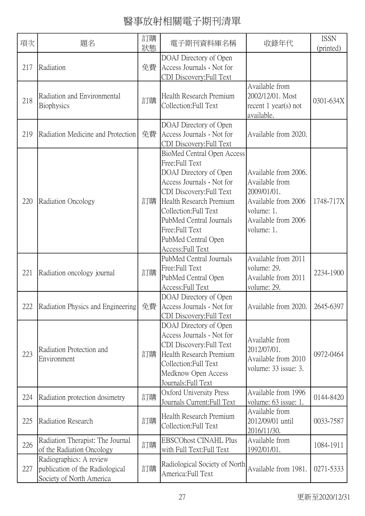| 項次  | 題名                                                                                     | 訂購<br>狀態 | 電子期刊資料庫名稱                                                                                                                                                                                                                                                                           | 收錄年代                                                                                                                            | <b>ISSN</b><br>(printed) |
|-----|----------------------------------------------------------------------------------------|----------|-------------------------------------------------------------------------------------------------------------------------------------------------------------------------------------------------------------------------------------------------------------------------------------|---------------------------------------------------------------------------------------------------------------------------------|--------------------------|
| 217 | Radiation                                                                              | 免費       | DOAJ Directory of Open<br>Access Journals - Not for<br>CDI Discovery: Full Text                                                                                                                                                                                                     |                                                                                                                                 |                          |
| 218 | Radiation and Environmental<br>Biophysics                                              | 訂購       | Health Research Premium<br>Collection: Full Text                                                                                                                                                                                                                                    | Available from<br>2002/12/01. Most<br>recent $1$ year(s) not<br>available.                                                      | 0301-634X                |
| 219 | Radiation Medicine and Protection                                                      | 免費       | DOAJ Directory of Open<br>Access Journals - Not for<br>CDI Discovery: Full Text                                                                                                                                                                                                     | Available from 2020.                                                                                                            |                          |
| 220 | Radiation Oncology                                                                     | 訂購       | <b>BioMed Central Open Access</b><br>Free:Full Text<br>DOAJ Directory of Open<br>Access Journals - Not for<br>CDI Discovery: Full Text<br>Health Research Premium<br>Collection: Full Text<br>PubMed Central Journals<br>Free:Full Text<br>PubMed Central Open<br>Access: Full Text | Available from 2006.<br>Available from<br>2009/01/01.<br>Available from 2006<br>volume: 1.<br>Available from 2006<br>volume: 1. | 1748-717X                |
| 221 | Radiation oncology journal                                                             | 訂購       | PubMed Central Journals<br>Free:Full Text<br>PubMed Central Open<br>Access: Full Text                                                                                                                                                                                               | Available from 2011<br>volume: 29.<br>Available from 2011<br>volume: 29.                                                        | 2234-1900                |
|     | 222 Radiation Physics and Engineering 免費 Access Journals - Not for                     |          | DOAJ Directory of Open<br>CDI Discovery: Full Text                                                                                                                                                                                                                                  | Available from 2020. 2645-6397                                                                                                  |                          |
| 223 | Radiation Protection and<br>Environment                                                | 訂購       | DOAJ Directory of Open<br>Access Journals - Not for<br>CDI Discovery: Full Text<br>Health Research Premium<br>Collection: Full Text<br>Medknow Open Access<br>Journals: Full Text                                                                                                   | Available from<br>2012/07/01.<br>Available from 2010<br>volume: 33 issue: 3.                                                    | 0972-0464                |
| 224 | Radiation protection dosimetry                                                         | 訂購       | Oxford University Press<br>Journals Current: Full Text                                                                                                                                                                                                                              | Available from 1996<br>volume: 63 issue: 1.                                                                                     | 0144-8420                |
| 225 | Radiation Research                                                                     | 訂購       | Health Research Premium<br>Collection: Full Text                                                                                                                                                                                                                                    | Available from<br>2012/09/01 until<br>2016/11/30.                                                                               | 0033-7587                |
| 226 | Radiation Therapist: The Journal<br>of the Radiation Oncology                          | 訂購       | <b>EBSCOhost CINAHL Plus</b><br>with Full Text: Full Text                                                                                                                                                                                                                           | Available from<br>1992/01/01.                                                                                                   | 1084-1911                |
| 227 | Radiographics: A review<br>publication of the Radiological<br>Society of North America | 訂購       | Radiological Society of North<br>America: Full Text                                                                                                                                                                                                                                 | Available from 1981.                                                                                                            | 0271-5333                |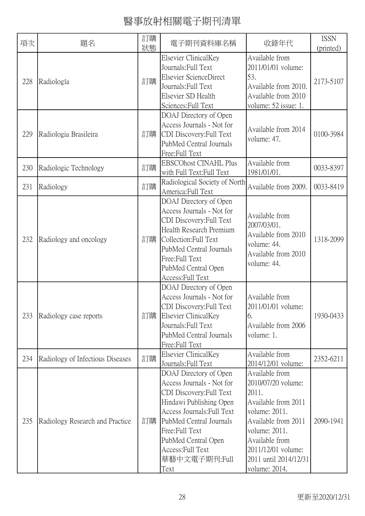| 項次  | 題名                               | 訂購<br>狀態 | 電子期刊資料庫名稱                                                                                                                                                                                                                                                  | 收錄年代                                                                                                                                                                                                            | <b>ISSN</b><br>(printed) |
|-----|----------------------------------|----------|------------------------------------------------------------------------------------------------------------------------------------------------------------------------------------------------------------------------------------------------------------|-----------------------------------------------------------------------------------------------------------------------------------------------------------------------------------------------------------------|--------------------------|
| 228 | Radiología                       | 訂購       | Elsevier ClinicalKey<br>Journals: Full Text<br>Elsevier ScienceDirect<br>Journals: Full Text<br>Elsevier SD Health<br>Sciences: Full Text                                                                                                                  | Available from<br>2011/01/01 volume:<br>53.<br>Available from 2010.<br>Available from 2010<br>volume: 52 issue: 1.                                                                                              | 2173-5107                |
| 229 | Radiologia Brasileira            | 訂購       | DOAJ Directory of Open<br>Access Journals - Not for<br>CDI Discovery: Full Text<br>PubMed Central Journals<br>Free: Full Text                                                                                                                              | Available from 2014<br>volume: 47.                                                                                                                                                                              | 0100-3984                |
| 230 | Radiologic Technology            | 訂購       | <b>EBSCOhost CINAHL Plus</b><br>with Full Text: Full Text                                                                                                                                                                                                  | Available from<br>1981/01/01.                                                                                                                                                                                   | 0033-8397                |
| 231 | Radiology                        | 訂購       | Radiological Society of North<br>America: Full Text                                                                                                                                                                                                        | Available from 2009.                                                                                                                                                                                            | 0033-8419                |
| 232 | Radiology and oncology           | 訂購       | DOAJ Directory of Open<br>Access Journals - Not for<br>CDI Discovery: Full Text<br>Health Research Premium<br>Collection: Full Text<br>PubMed Central Journals<br>Free: Full Text<br>PubMed Central Open<br>Access: Full Text                              | Available from<br>2007/03/01.<br>Available from 2010<br>volume: 44.<br>Available from 2010<br>volume: 44.                                                                                                       | 1318-2099                |
| 233 | Radiology case reports           | 訂購       | DOAJ Directory of Open<br>Access Journals - Not for<br>CDI Discovery: Full Text<br>Elsevier ClinicalKey<br>Journals: Full Text<br>PubMed Central Journals<br>Free:Full Text                                                                                | Available from<br>2011/01/01 volume:<br>6.<br>Available from 2006<br>volume: 1.                                                                                                                                 | 1930-0433                |
| 234 | Radiology of Infectious Diseases | 訂購       | Elsevier ClinicalKey<br>Journals: Full Text                                                                                                                                                                                                                | Available from<br>2014/12/01 volume:                                                                                                                                                                            | 2352-6211                |
| 235 | Radiology Research and Practice  | 訂購       | DOAJ Directory of Open<br>Access Journals - Not for<br>CDI Discovery: Full Text<br>Hindawi Publishing Open<br>Access Journals: Full Text<br>PubMed Central Journals<br>Free: Full Text<br>PubMed Central Open<br>Access:Full Text<br>華藝中文電子期刊:Full<br>Text | Available from<br>2010/07/20 volume:<br>2011.<br>Available from 2011<br>volume: 2011.<br>Available from 2011<br>volume: 2011.<br>Available from<br>2011/12/01 volume:<br>2011 until 2014/12/31<br>volume: 2014. | 2090-1941                |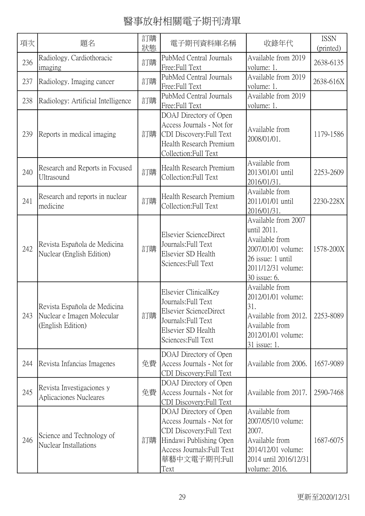| 項次  | 題名                                                                              | 訂購<br>狀態 | 電子期刊資料庫名稱                                                                                                                                                         | 收錄年代                                                                                                                                  | <b>ISSN</b><br>(printed) |
|-----|---------------------------------------------------------------------------------|----------|-------------------------------------------------------------------------------------------------------------------------------------------------------------------|---------------------------------------------------------------------------------------------------------------------------------------|--------------------------|
| 236 | Radiology. Cardiothoracic<br>imaging                                            | 訂購       | PubMed Central Journals<br>Free:Full Text                                                                                                                         | Available from 2019<br>volume: 1.                                                                                                     | 2638-6135                |
| 237 | Radiology. Imaging cancer                                                       | 訂購       | PubMed Central Journals<br>Free:Full Text                                                                                                                         | Available from 2019<br>volume: 1.                                                                                                     | 2638-616X                |
| 238 | Radiology: Artificial Intelligence                                              | 訂購       | PubMed Central Journals<br>Free:Full Text                                                                                                                         | Available from 2019<br>volume: 1.                                                                                                     |                          |
| 239 | Reports in medical imaging                                                      | 訂購       | DOAJ Directory of Open<br>Access Journals - Not for<br>CDI Discovery: Full Text<br>Health Research Premium<br>Collection: Full Text                               | Available from<br>2008/01/01.                                                                                                         | 1179-1586                |
| 240 | Research and Reports in Focused<br>Ultrasound                                   | 訂購       | Health Research Premium<br>Collection: Full Text                                                                                                                  | Available from<br>2013/01/01 until<br>2016/01/31.                                                                                     | 2253-2609                |
| 241 | Research and reports in nuclear<br>medicine                                     | 訂購       | Health Research Premium<br>Collection: Full Text                                                                                                                  | Available from<br>2011/01/01 until<br>2016/01/31.                                                                                     | 2230-228X                |
| 242 | Revista Española de Medicina<br>Nuclear (English Edition)                       | 訂購       | Elsevier ScienceDirect<br>Journals: Full Text<br>Elsevier SD Health<br>Sciences: Full Text                                                                        | Available from 2007<br>until 2011.<br>Available from<br>2007/01/01 volume:<br>26 issue: 1 until<br>2011/12/31 volume:<br>30 issue: 6. | 1578-200X                |
| 243 | Revista Española de Medicina<br>Nuclear e Imagen Molecular<br>(English Edition) | 訂購       | Elsevier ClinicalKey<br>Journals: Full Text<br>Elsevier ScienceDirect<br>Journals: Full Text<br>Elsevier SD Health<br>Sciences: Full Text                         | Available from<br>2012/01/01 volume:<br>31.<br>Available from 2012.<br>Available from<br>2012/01/01 volume:<br>31 issue: 1.           | 2253-8089                |
| 244 | Revista Infancias Imagenes                                                      | 免費       | DOAJ Directory of Open<br>Access Journals - Not for<br>CDI Discovery: Full Text                                                                                   | Available from 2006.                                                                                                                  | 1657-9089                |
| 245 | Revista Investigaciones y<br>Aplicaciones Nucleares                             | 免費       | DOAJ Directory of Open<br>Access Journals - Not for<br>CDI Discovery: Full Text                                                                                   | Available from 2017.                                                                                                                  | 2590-7468                |
| 246 | Science and Technology of<br>Nuclear Installations                              | 訂購       | DOAJ Directory of Open<br>Access Journals - Not for<br>CDI Discovery: Full Text<br>Hindawi Publishing Open<br>Access Journals: Full Text<br>華藝中文電子期刊:Full<br>Text | Available from<br>2007/05/10 volume:<br>2007.<br>Available from<br>2014/12/01 volume:<br>2014 until 2016/12/31<br>volume: 2016.       | 1687-6075                |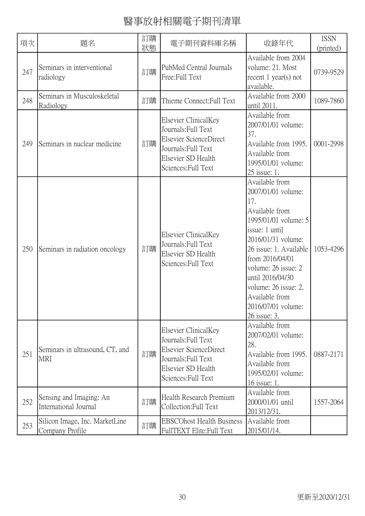| 項次  | 題名                                                | 訂購<br>狀態 | 電子期刊資料庫名稱                                                                                                                                 | 收錄年代                                                                                                                                                                                                                                                                                                  | <b>ISSN</b><br>(printed) |
|-----|---------------------------------------------------|----------|-------------------------------------------------------------------------------------------------------------------------------------------|-------------------------------------------------------------------------------------------------------------------------------------------------------------------------------------------------------------------------------------------------------------------------------------------------------|--------------------------|
| 247 | Seminars in interventional<br>radiology           | 訂購       | PubMed Central Journals<br>Free: Full Text                                                                                                | Available from 2004<br>volume: 21. Most<br>recent $1$ year(s) not<br>available.                                                                                                                                                                                                                       | 0739-9529                |
| 248 | Seminars in Musculoskeletal<br>Radiology          | 訂購       | Thieme Connect: Full Text                                                                                                                 | Available from 2000<br>until 2011.                                                                                                                                                                                                                                                                    | 1089-7860                |
| 249 | Seminars in nuclear medicine                      | 訂購       | Elsevier ClinicalKey<br>Journals: Full Text<br>Elsevier ScienceDirect<br>Journals: Full Text<br>Elsevier SD Health<br>Sciences: Full Text | Available from<br>2007/01/01 volume:<br>37.<br>Available from 1995.<br>Available from<br>1995/01/01 volume:<br>25 issue: 1.                                                                                                                                                                           | 0001-2998                |
| 250 | Seminars in radiation oncology                    | 訂購       | Elsevier ClinicalKey<br>Journals: Full Text<br>Elsevier SD Health<br>Sciences: Full Text                                                  | Available from<br>2007/01/01 volume:<br>17.<br>Available from<br>1995/01/01 volume: 5<br>issue: 1 until<br>2016/01/31 volume:<br>26 issue: 1. Available<br>from 2016/04/01<br>volume: 26 issue: 2<br>until 2016/04/30<br>volume: 26 issue: 2.<br>Available from<br>2016/07/01 volume:<br>26 issue: 3. | 1053-4296                |
| 251 | Seminars in ultrasound, CT, and<br><b>MRI</b>     | 訂購       | Elsevier ClinicalKey<br>Journals: Full Text<br>Elsevier ScienceDirect<br>Journals: Full Text<br>Elsevier SD Health<br>Sciences: Full Text | Available from<br>2007/02/01 volume:<br>28.<br>Available from 1995.<br>Available from<br>1995/02/01 volume:<br>16 issue: 1.                                                                                                                                                                           | 0887-2171                |
| 252 | Sensing and Imaging: An<br>International Journal  | 訂購       | Health Research Premium<br>Collection: Full Text                                                                                          | Available from<br>2000/01/01 until<br>2013/12/31.                                                                                                                                                                                                                                                     | 1557-2064                |
| 253 | Silicon Image, Inc. MarketLine<br>Company Profile | 訂購       | <b>EBSCOhost Health Business</b><br>FullTEXT Elite: Full Text                                                                             | Available from<br>2015/01/14.                                                                                                                                                                                                                                                                         |                          |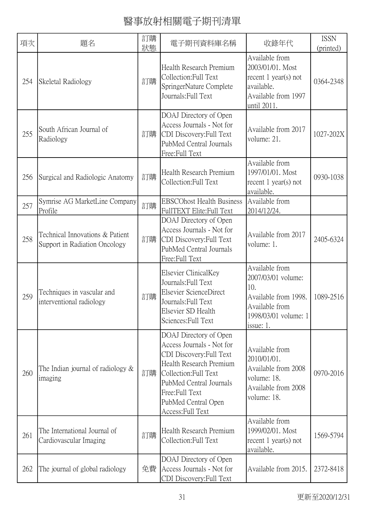| 項次  | 題名                                                               | 訂購<br>狀態 | 電子期刊資料庫名稱                                                                                                                                                                                                                    | 收錄年代                                                                                                                          | <b>ISSN</b><br>(printed) |
|-----|------------------------------------------------------------------|----------|------------------------------------------------------------------------------------------------------------------------------------------------------------------------------------------------------------------------------|-------------------------------------------------------------------------------------------------------------------------------|--------------------------|
| 254 | Skeletal Radiology                                               | 訂購       | Health Research Premium<br>Collection: Full Text<br>SpringerNature Complete<br>Journals: Full Text                                                                                                                           | Available from<br>2003/01/01. Most<br>recent $1$ year(s) not<br>available.<br>Available from 1997<br>until 2011.              | 0364-2348                |
| 255 | South African Journal of<br>Radiology                            | 訂購       | DOAJ Directory of Open<br>Access Journals - Not for<br>CDI Discovery: Full Text<br>PubMed Central Journals<br>Free:Full Text                                                                                                 | Available from 2017<br>volume: 21.                                                                                            | 1027-202X                |
| 256 | Surgical and Radiologic Anatomy                                  | 訂購       | Health Research Premium<br>Collection: Full Text                                                                                                                                                                             | Available from<br>1997/01/01. Most<br>recent $1$ year(s) not<br>available.                                                    | 0930-1038                |
| 257 | Symrise AG MarketLine Company<br>Profile                         | 訂購       | <b>EBSCOhost Health Business</b><br>FullTEXT Elite: Full Text                                                                                                                                                                | Available from<br>2014/12/24.                                                                                                 |                          |
| 258 | Technical Innovations & Patient<br>Support in Radiation Oncology | 訂購       | DOAJ Directory of Open<br>Access Journals - Not for<br>CDI Discovery: Full Text<br>PubMed Central Journals<br>Free:Full Text                                                                                                 | Available from 2017<br>volume: 1.                                                                                             | 2405-6324                |
| 259 | Techniques in vascular and<br>interventional radiology           | 訂購       | Elsevier ClinicalKey<br>Journals: Full Text<br>Elsevier ScienceDirect<br>Journals: Full Text<br>Elsevier SD Health<br>Sciences: Full Text                                                                                    | Available from<br>2007/03/01 volume:<br>10.<br>Available from 1998.<br>Available from<br>1998/03/01 volume: 1<br>issue: $1$ . | 1089-2516                |
| 260 | The Indian journal of radiology $\&$<br>imaging                  | 訂購       | DOAJ Directory of Open<br>Access Journals - Not for<br>CDI Discovery: Full Text<br>Health Research Premium<br>Collection: Full Text<br>PubMed Central Journals<br>Free:Full Text<br>PubMed Central Open<br>Access: Full Text | Available from<br>2010/01/01.<br>Available from 2008<br>volume: 18.<br>Available from 2008<br>volume: 18.                     | 0970-2016                |
| 261 | The International Journal of<br>Cardiovascular Imaging           | 訂購       | Health Research Premium<br>Collection: Full Text                                                                                                                                                                             | Available from<br>1999/02/01. Most<br>recent $1$ year(s) not<br>available.                                                    | 1569-5794                |
| 262 | The journal of global radiology                                  | 免費       | DOAJ Directory of Open<br>Access Journals - Not for<br>CDI Discovery: Full Text                                                                                                                                              | Available from 2015.                                                                                                          | 2372-8418                |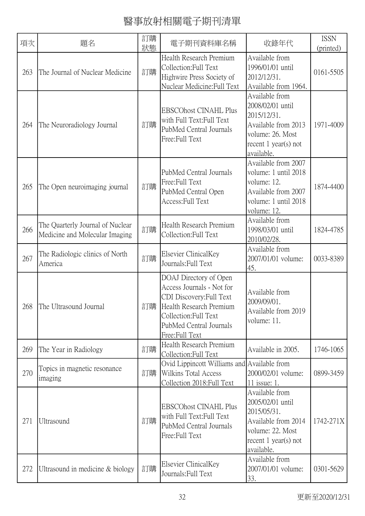| 項次  | 題名                                                                 | 訂購<br>狀態 | 電子期刊資料庫名稱                                                                                                                                                                        | 收錄年代                                                                                                                                 | <b>ISSN</b><br>(printed) |
|-----|--------------------------------------------------------------------|----------|----------------------------------------------------------------------------------------------------------------------------------------------------------------------------------|--------------------------------------------------------------------------------------------------------------------------------------|--------------------------|
| 263 | The Journal of Nuclear Medicine                                    | 訂購       | Health Research Premium<br>Collection: Full Text<br>Highwire Press Society of<br>Nuclear Medicine: Full Text                                                                     | Available from<br>1996/01/01 until<br>2012/12/31.<br>Available from 1964.                                                            | 0161-5505                |
| 264 | The Neuroradiology Journal                                         | 訂購       | <b>EBSCOhost CINAHL Plus</b><br>with Full Text: Full Text<br>PubMed Central Journals<br>Free: Full Text                                                                          | Available from<br>2008/02/01 until<br>2015/12/31.<br>Available from 2013<br>volume: 26. Most<br>recent $1$ year(s) not<br>available. | 1971-4009                |
| 265 | The Open neuroimaging journal                                      | 訂購       | PubMed Central Journals<br>Free:Full Text<br>PubMed Central Open<br>Access: Full Text                                                                                            | Available from 2007<br>volume: 1 until 2018<br>volume: 12.<br>Available from 2007<br>volume: 1 until 2018<br>volume: 12.             | 1874-4400                |
| 266 | The Quarterly Journal of Nuclear<br>Medicine and Molecular Imaging | 訂購       | Health Research Premium<br>Collection: Full Text                                                                                                                                 | Available from<br>1998/03/01 until<br>2010/02/28.                                                                                    | 1824-4785                |
| 267 | The Radiologic clinics of North<br>America                         | 訂購       | Elsevier ClinicalKey<br>Journals: Full Text                                                                                                                                      | Available from<br>2007/01/01 volume:<br>45.                                                                                          | 0033-8389                |
|     | 268 The Ultrasound Journal                                         | 訂購       | DOAJ Directory of Open<br>Access Journals - Not for<br>CDI Discovery: Full Text<br>Health Research Premium<br>Collection: Full Text<br>PubMed Central Journals<br>Free:Full Text | Available from<br>2009/09/01.<br>Available from 2019<br>volume: 11.                                                                  |                          |
| 269 | The Year in Radiology                                              | 訂購       | Health Research Premium<br>Collection:Full Text                                                                                                                                  | Available in 2005.                                                                                                                   | 1746-1065                |
| 270 | Topics in magnetic resonance<br>imaging                            | 訂購       | Ovid Lippincott Williams and Available from<br><b>Wilkins Total Access</b><br>Collection 2018: Full Text                                                                         | 2000/02/01 volume:<br>11 issue: 1.                                                                                                   | 0899-3459                |
| 271 | Ultrasound                                                         | 訂購       | <b>EBSCOhost CINAHL Plus</b><br>with Full Text: Full Text<br>PubMed Central Journals<br>Free:Full Text                                                                           | Available from<br>2005/02/01 until<br>2015/05/31.<br>Available from 2014<br>volume: 22. Most<br>recent $1$ year(s) not<br>available. | 1742-271X                |
| 272 | Ultrasound in medicine $&$ biology                                 | 訂購       | Elsevier ClinicalKey<br>Journals: Full Text                                                                                                                                      | Available from<br>2007/01/01 volume:<br>33.                                                                                          | 0301-5629                |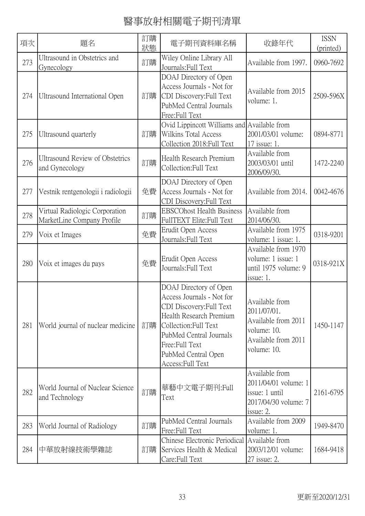| 項次  | 題名                                                           | 訂購<br>狀態 | 電子期刊資料庫名稱                                                                                                                                                                                                                     | 收錄年代                                                                                                      | <b>ISSN</b><br>(printed) |
|-----|--------------------------------------------------------------|----------|-------------------------------------------------------------------------------------------------------------------------------------------------------------------------------------------------------------------------------|-----------------------------------------------------------------------------------------------------------|--------------------------|
| 273 | Ultrasound in Obstetrics and<br>Gynecology                   | 訂購       | Wiley Online Library All<br>Journals: Full Text                                                                                                                                                                               | Available from 1997.                                                                                      | 0960-7692                |
| 274 | Ultrasound International Open                                | 訂購       | DOAJ Directory of Open<br>Access Journals - Not for<br>CDI Discovery: Full Text<br>PubMed Central Journals<br>Free: Full Text                                                                                                 | Available from 2015<br>volume: 1.                                                                         | 2509-596X                |
| 275 | Ultrasound quarterly                                         | 訂購       | Ovid Lippincott Williams and Available from<br>Wilkins Total Access<br>Collection 2018: Full Text                                                                                                                             | 2001/03/01 volume:<br>17 issue: 1.                                                                        | 0894-8771                |
| 276 | <b>Ultrasound Review of Obstetrics</b><br>and Gynecology     | 訂購       | Health Research Premium<br>Collection:Full Text                                                                                                                                                                               | Available from<br>2003/03/01 until<br>2006/09/30.                                                         | 1472-2240                |
| 277 | Vestnik rentgenologii i radiologii                           | 免費       | DOAJ Directory of Open<br>Access Journals - Not for<br>CDI Discovery: Full Text                                                                                                                                               | Available from 2014.                                                                                      | 0042-4676                |
| 278 | Virtual Radiologic Corporation<br>MarketLine Company Profile | 訂購       | <b>EBSCOhost Health Business</b><br>FullTEXT Elite: Full Text                                                                                                                                                                 | Available from<br>2014/06/30.                                                                             |                          |
| 279 | Voix et Images                                               | 免費       | Erudit Open Access<br>Journals: Full Text                                                                                                                                                                                     | Available from 1975<br>volume: 1 issue: 1.                                                                | 0318-9201                |
| 280 | Voix et images du pays                                       | 免費       | Erudit Open Access<br>Journals: Full Text                                                                                                                                                                                     | Available from 1970<br>volume: 1 issue: 1<br>until 1975 volume: 9<br>issue: 1.                            | 0318-921X                |
| 281 | World journal of nuclear medicine                            | 訂購       | DOAJ Directory of Open<br>Access Journals - Not for<br>CDI Discovery: Full Text<br>Health Research Premium<br>Collection: Full Text<br>PubMed Central Journals<br>Free: Full Text<br>PubMed Central Open<br>Access: Full Text | Available from<br>2011/07/01.<br>Available from 2011<br>volume: 10.<br>Available from 2011<br>volume: 10. | 1450-1147                |
| 282 | World Journal of Nuclear Science<br>and Technology           | 訂購       | 華藝中文電子期刊:Full<br>Text                                                                                                                                                                                                         | Available from<br>2011/04/01 volume: 1<br>issue: 1 until<br>2017/04/30 volume: 7<br>issue: 2.             | 2161-6795                |
| 283 | World Journal of Radiology                                   | 訂購       | PubMed Central Journals<br>Free: Full Text                                                                                                                                                                                    | Available from 2009<br>volume: 1.                                                                         | 1949-8470                |
| 284 | 中華放射線技術學雜誌                                                   | 訂購       | Chinese Electronic Periodical<br>Services Health & Medical<br>Care:Full Text                                                                                                                                                  | Available from<br>2003/12/01 volume:<br>27 issue: 2.                                                      | 1684-9418                |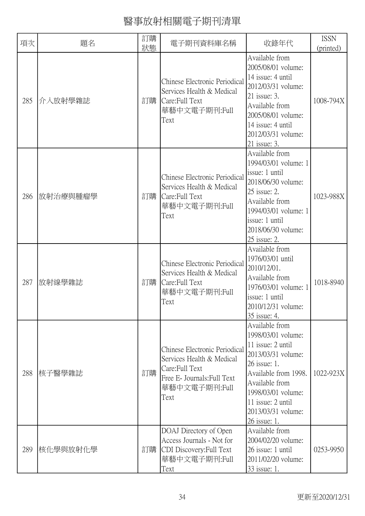| 項次  | 題名       | 訂購 | 電子期刊資料庫名稱                                                                                                                             | 收錄年代                                                                                                                                                                                                                       | <b>ISSN</b> |
|-----|----------|----|---------------------------------------------------------------------------------------------------------------------------------------|----------------------------------------------------------------------------------------------------------------------------------------------------------------------------------------------------------------------------|-------------|
|     |          | 狀態 |                                                                                                                                       | Available from                                                                                                                                                                                                             | (printed)   |
| 285 | 介入放射學雜誌  | 訂購 | Chinese Electronic Periodical<br>Services Health & Medical<br>Care:Full Text<br>華藝中文電子期刊:Full<br>Text                                 | 2005/08/01 volume:<br>14 issue: 4 until<br>2012/03/31 volume:<br>$21$ issue: 3.<br>Available from<br>2005/08/01 volume:<br>14 issue: 4 until<br>2012/03/31 volume:<br>21 issue: 3.                                         | 1008-794X   |
| 286 | 放射治療與腫瘤學 | 訂購 | Chinese Electronic Periodical<br>Services Health & Medical<br>Care:Full Text<br>華藝中文電子期刊:Full<br>Text                                 | Available from<br>1994/03/01 volume: 1<br>issue: 1 until<br>2018/06/30 volume:<br>$25$ issue: 2.<br>Available from<br>1994/03/01 volume: 1<br>issue: 1 until<br>2018/06/30 volume:<br>25 issue: 2.                         | 1023-988X   |
| 287 | 放射線學雜誌   | 訂購 | Chinese Electronic Periodical<br>Services Health & Medical<br>Care:Full Text<br>華藝中文電子期刊:Full<br>Text                                 | Available from<br>1976/03/01 until<br>2010/12/01.<br>Available from<br>1976/03/01 volume: 1<br>issue: 1 until<br>2010/12/31 volume:<br>35 issue: 4.                                                                        | 1018-8940   |
| 288 | 核子醫學雜誌   | 訂購 | Chinese Electronic Periodical<br>Services Health & Medical<br>Care: Full Text<br>Free E- Journals: Full Text<br>華藝中文電子期刊:Full<br>Text | Available from<br>1998/03/01 volume:<br>11 issue: 2 until<br>2013/03/31 volume:<br>26 issue: 1.<br>Available from 1998.<br>Available from<br>1998/03/01 volume:<br>11 issue: 2 until<br>2013/03/31 volume:<br>26 issue: 1. | 1022-923X   |
| 289 | 核化學與放射化學 | 訂購 | DOAJ Directory of Open<br>Access Journals - Not for<br>CDI Discovery: Full Text<br>華藝中文電子期刊:Full<br>Text                              | Available from<br>2004/02/20 volume:<br>26 issue: 1 until<br>2011/02/20 volume:<br>33 issue: 1.                                                                                                                            | 0253-9950   |